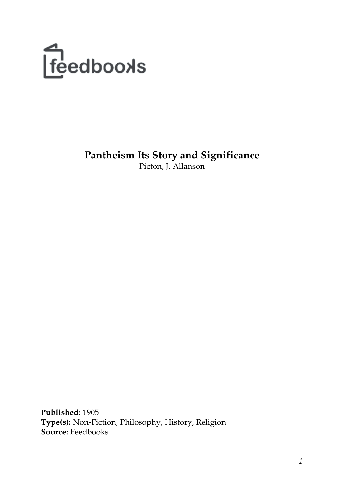

**Pantheism Its Story and Significance** Picton, J. Allanson

**Published:** 1905 **Type(s):** Non-Fiction, Philosophy, History, Religion **Source:** Feedbooks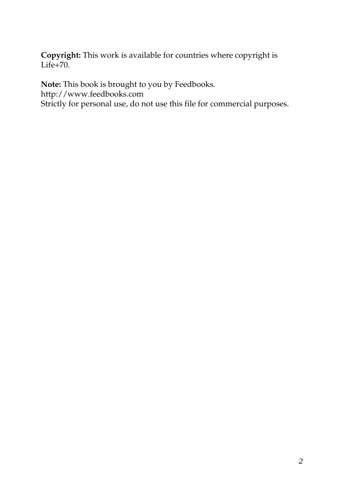**Copyright:** This work is available for countries where copyright is  $Life+70.$  $Life+70.$ 

**Note:** This book is brought to you by Feedbooks.

<http://www.feedbooks.com>

Strictly for personal use, do not use this file for commercial purposes.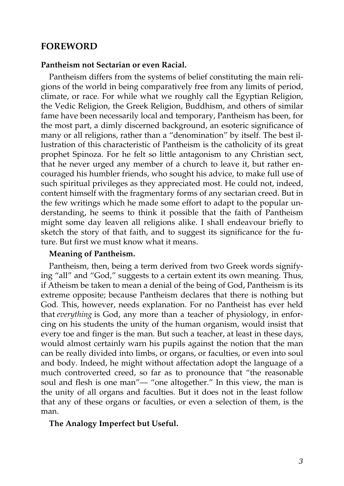# **FOREWORD**

#### **Pantheism not Sectarian or even Racial.**

Pantheism differs from the systems of belief constituting the main religions of the world in being comparatively free from any limits of period, climate, or race. For while what we roughly call the Egyptian Religion, the Vedic Religion, the Greek Religion, Buddhism, and others of similar fame have been necessarily local and temporary, Pantheism has been, for the most part, a dimly discerned background, an esoteric significance of many or all religions, rather than a "denomination" by itself. The best illustration of this characteristic of Pantheism is the catholicity of its great prophet Spinoza. For he felt so little antagonism to any Christian sect, that he never urged any member of a church to leave it, but rather encouraged his humbler friends, who sought his advice, to make full use of such spiritual privileges as they appreciated most. He could not, indeed, content himself with the fragmentary forms of any sectarian creed. But in the few writings which he made some effort to adapt to the popular understanding, he seems to think it possible that the faith of Pantheism might some day leaven all religions alike. I shall endeavour briefly to sketch the story of that faith, and to suggest its significance for the future. But first we must know what it means.

#### **Meaning of Pantheism.**

Pantheism, then, being a term derived from two Greek words signifying "all" and "God," suggests to a certain extent its own meaning. Thus, if Atheism be taken to mean a denial of the being of God, Pantheism is its extreme opposite; because Pantheism declares that there is nothing but God. This, however, needs explanation. For no Pantheist has ever held that *everything* is God, any more than a teacher of physiology, in enforcing on his students the unity of the human organism, would insist that every toe and finger is the man. But such a teacher, at least in these days, would almost certainly warn his pupils against the notion that the man can be really divided into limbs, or organs, or faculties, or even into soul and body. Indeed, he might without affectation adopt the language of a much controverted creed, so far as to pronounce that "the reasonable soul and flesh is one man"— "one altogether." In this view, the man is the unity of all organs and faculties. But it does not in the least follow that any of these organs or faculties, or even a selection of them, is the man.

#### **The Analogy Imperfect but Useful.**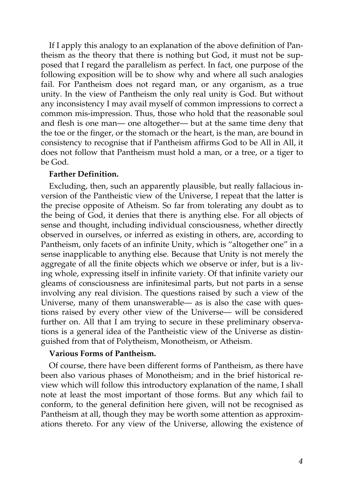If I apply this analogy to an explanation of the above definition of Pantheism as the theory that there is nothing but God, it must not be supposed that I regard the parallelism as perfect. In fact, one purpose of the following exposition will be to show why and where all such analogies fail. For Pantheism does not regard man, or any organism, as a true unity. In the view of Pantheism the only real unity is God. But without any inconsistency I may avail myself of common impressions to correct a common mis-impression. Thus, those who hold that the reasonable soul and flesh is one man— one altogether— but at the same time deny that the toe or the finger, or the stomach or the heart, is the man, are bound in consistency to recognise that if Pantheism affirms God to be All in All, it does not follow that Pantheism must hold a man, or a tree, or a tiger to be God.

#### **Farther Definition.**

Excluding, then, such an apparently plausible, but really fallacious inversion of the Pantheistic view of the Universe, I repeat that the latter is the precise opposite of Atheism. So far from tolerating any doubt as to the being of God, it denies that there is anything else. For all objects of sense and thought, including individual consciousness, whether directly observed in ourselves, or inferred as existing in others, are, according to Pantheism, only facets of an infinite Unity, which is "altogether one" in a sense inapplicable to anything else. Because that Unity is not merely the aggregate of all the finite objects which we observe or infer, but is a living whole, expressing itself in infinite variety. Of that infinite variety our gleams of consciousness are infinitesimal parts, but not parts in a sense involving any real division. The questions raised by such a view of the Universe, many of them unanswerable— as is also the case with questions raised by every other view of the Universe— will be considered further on. All that I am trying to secure in these preliminary observations is a general idea of the Pantheistic view of the Universe as distinguished from that of Polytheism, Monotheism, or Atheism.

## **Various Forms of Pantheism.**

Of course, there have been different forms of Pantheism, as there have been also various phases of Monotheism; and in the brief historical review which will follow this introductory explanation of the name, I shall note at least the most important of those forms. But any which fail to conform, to the general definition here given, will not be recognised as Pantheism at all, though they may be worth some attention as approximations thereto. For any view of the Universe, allowing the existence of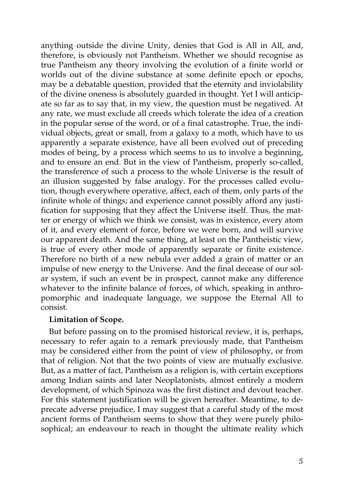anything outside the divine Unity, denies that God is All in All, and, therefore, is obviously not Pantheism. Whether we should recognise as true Pantheism any theory involving the evolution of a finite world or worlds out of the divine substance at some definite epoch or epochs, may be a debatable question, provided that the eternity and inviolability of the divine oneness is absolutely guarded in thought. Yet I will anticipate so far as to say that, in my view, the question must be negatived. At any rate, we must exclude all creeds which tolerate the idea of a creation in the popular sense of the word, or of a final catastrophe. True, the individual objects, great or small, from a galaxy to a moth, which have to us apparently a separate existence, have all been evolved out of preceding modes of being, by a process which seems to us to involve a beginning, and to ensure an end. But in the view of Pantheism, properly so-called, the transference of such a process to the whole Universe is the result of an illusion suggested by false analogy. For the processes called evolution, though everywhere operative, affect, each of them, only parts of the infinite whole of things; and experience cannot possibly afford any justification for supposing that they affect the Universe itself. Thus, the matter or energy of which we think we consist, was in existence, every atom of it, and every element of force, before we were born, and will survive our apparent death. And the same thing, at least on the Pantheistic view, is true of every other mode of apparently separate or finite existence. Therefore no birth of a new nebula ever added a grain of matter or an impulse of new energy to the Universe. And the final decease of our solar system, if such an event be in prospect, cannot make any difference whatever to the infinite balance of forces, of which, speaking in anthropomorphic and inadequate language, we suppose the Eternal All to consist.

## **Limitation of Scope.**

But before passing on to the promised historical review, it is, perhaps, necessary to refer again to a remark previously made, that Pantheism may be considered either from the point of view of philosophy, or from that of religion. Not that the two points of view are mutually exclusive. But, as a matter of fact, Pantheism as a religion is, with certain exceptions among Indian saints and later Neoplatonists, almost entirely a modern development, of which Spinoza was the first distinct and devout teacher. For this statement justification will be given hereafter. Meantime, to deprecate adverse prejudice, I may suggest that a careful study of the most ancient forms of Pantheism seems to show that they were purely philosophical; an endeavour to reach in thought the ultimate reality which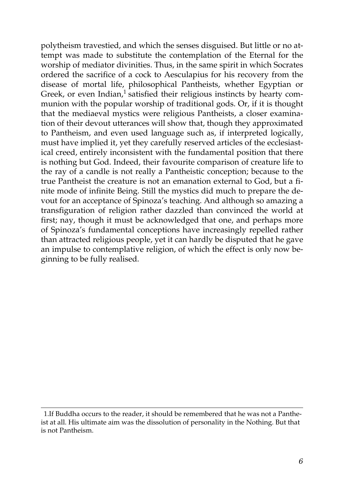polytheism travestied, and which the senses disguised. But little or no attempt was made to substitute the contemplation of the Eternal for the worship of mediator divinities. Thus, in the same spirit in which Socrates ordered the sacrifice of a cock to Aesculapius for his recovery from the disease of mortal life, philosophical Pantheists, whether Egyptian or Greek, or even Indian,<sup>1</sup> satisfied their religious instincts by hearty communion with the popular worship of traditional gods. Or, if it is thought that the mediaeval mystics were religious Pantheists, a closer examination of their devout utterances will show that, though they approximated to Pantheism, and even used language such as, if interpreted logically, must have implied it, yet they carefully reserved articles of the ecclesiastical creed, entirely inconsistent with the fundamental position that there is nothing but God. Indeed, their favourite comparison of creature life to the ray of a candle is not really a Pantheistic conception; because to the true Pantheist the creature is not an emanation external to God, but a finite mode of infinite Being. Still the mystics did much to prepare the devout for an acceptance of Spinoza's teaching. And although so amazing a transfiguration of religion rather dazzled than convinced the world at first; nay, though it must be acknowledged that one, and perhaps more of Spinoza's fundamental conceptions have increasingly repelled rather than attracted religious people, yet it can hardly be disputed that he gave an impulse to contemplative religion, of which the effect is only now beginning to be fully realised.

<sup>1.</sup>If Buddha occurs to the reader, it should be remembered that he was not a Pantheist at all. His ultimate aim was the dissolution of personality in the Nothing. But that is not Pantheism.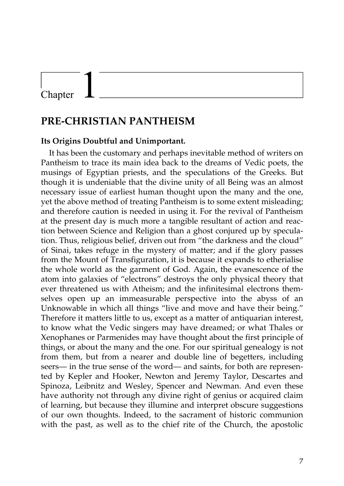# Chapter

# **PRE-CHRISTIAN PANTHEISM**

#### **Its Origins Doubtful and Unimportant.**

It has been the customary and perhaps inevitable method of writers on Pantheism to trace its main idea back to the dreams of Vedic poets, the musings of Egyptian priests, and the speculations of the Greeks. But though it is undeniable that the divine unity of all Being was an almost necessary issue of earliest human thought upon the many and the one, yet the above method of treating Pantheism is to some extent misleading; and therefore caution is needed in using it. For the revival of Pantheism at the present day is much more a tangible resultant of action and reaction between Science and Religion than a ghost conjured up by speculation. Thus, religious belief, driven out from "the darkness and the cloud" of Sinai, takes refuge in the mystery of matter; and if the glory passes from the Mount of Transfiguration, it is because it expands to etherialise the whole world as the garment of God. Again, the evanescence of the atom into galaxies of "electrons" destroys the only physical theory that ever threatened us with Atheism; and the infinitesimal electrons themselves open up an immeasurable perspective into the abyss of an Unknowable in which all things "live and move and have their being." Therefore it matters little to us, except as a matter of antiquarian interest, to know what the Vedic singers may have dreamed; or what Thales or Xenophanes or Parmenides may have thought about the first principle of things, or about the many and the one. For our spiritual genealogy is not from them, but from a nearer and double line of begetters, including seers— in the true sense of the word— and saints, for both are represented by Kepler and Hooker, Newton and Jeremy Taylor, Descartes and Spinoza, Leibnitz and Wesley, Spencer and Newman. And even these have authority not through any divine right of genius or acquired claim of learning, but because they illumine and interpret obscure suggestions of our own thoughts. Indeed, to the sacrament of historic communion with the past, as well as to the chief rite of the Church, the apostolic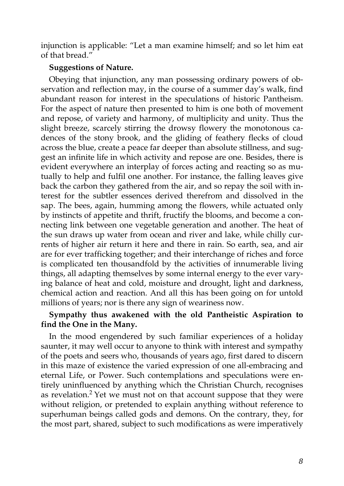injunction is applicable: "Let a man examine himself; and so let him eat of that bread."

#### **Suggestions of Nature.**

Obeying that injunction, any man possessing ordinary powers of observation and reflection may, in the course of a summer day's walk, find abundant reason for interest in the speculations of historic Pantheism. For the aspect of nature then presented to him is one both of movement and repose, of variety and harmony, of multiplicity and unity. Thus the slight breeze, scarcely stirring the drowsy flowery the monotonous cadences of the stony brook, and the gliding of feathery flecks of cloud across the blue, create a peace far deeper than absolute stillness, and suggest an infinite life in which activity and repose are one. Besides, there is evident everywhere an interplay of forces acting and reacting so as mutually to help and fulfil one another. For instance, the falling leaves give back the carbon they gathered from the air, and so repay the soil with interest for the subtler essences derived therefrom and dissolved in the sap. The bees, again, humming among the flowers, while actuated only by instincts of appetite and thrift, fructify the blooms, and become a connecting link between one vegetable generation and another. The heat of the sun draws up water from ocean and river and lake, while chilly currents of higher air return it here and there in rain. So earth, sea, and air are for ever trafficking together; and their interchange of riches and force is complicated ten thousandfold by the activities of innumerable living things, all adapting themselves by some internal energy to the ever varying balance of heat and cold, moisture and drought, light and darkness, chemical action and reaction. And all this has been going on for untold millions of years; nor is there any sign of weariness now.

# **Sympathy thus awakened with the old Pantheistic Aspiration to find the One in the Many.**

In the mood engendered by such familiar experiences of a holiday saunter, it may well occur to anyone to think with interest and sympathy of the poets and seers who, thousands of years ago, first dared to discern in this maze of existence the varied expression of one all-embracing and eternal Life, or Power. Such contemplations and speculations were entirely uninfluenced by anything which the Christian Church, recognises as revelation.<sup>2</sup> Yet we must not on that account suppose that they were without religion, or pretended to explain anything without reference to superhuman beings called gods and demons. On the contrary, they, for the most part, shared, subject to such modifications as were imperatively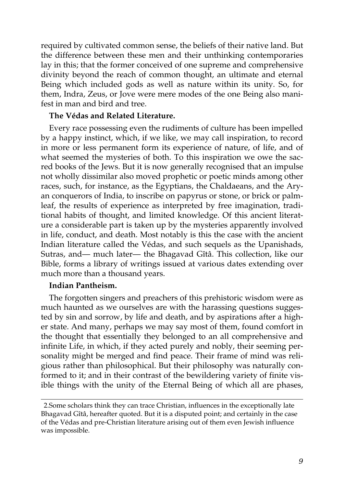required by cultivated common sense, the beliefs of their native land. But the difference between these men and their unthinking contemporaries lay in this; that the former conceived of one supreme and comprehensive divinity beyond the reach of common thought, an ultimate and eternal Being which included gods as well as nature within its unity. So, for them, Indra, Zeus, or Jove were mere modes of the one Being also manifest in man and bird and tree.

#### **The Védas and Related Literature.**

Every race possessing even the rudiments of culture has been impelled by a happy instinct, which, if we like, we may call inspiration, to record in more or less permanent form its experience of nature, of life, and of what seemed the mysteries of both. To this inspiration we owe the sacred books of the Jews. But it is now generally recognised that an impulse not wholly dissimilar also moved prophetic or poetic minds among other races, such, for instance, as the Egyptians, the Chaldaeans, and the Aryan conquerors of India, to inscribe on papyrus or stone, or brick or palmleaf, the results of experience as interpreted by free imagination, traditional habits of thought, and limited knowledge. Of this ancient literature a considerable part is taken up by the mysteries apparently involved in life, conduct, and death. Most notably is this the case with the ancient Indian literature called the Védas, and such sequels as the Upanishads, Sutras, and— much later— the Bhagavad Gîtâ. This collection, like our Bible, forms a library of writings issued at various dates extending over much more than a thousand years.

#### **Indian Pantheism.**

The forgotten singers and preachers of this prehistoric wisdom were as much haunted as we ourselves are with the harassing questions suggested by sin and sorrow, by life and death, and by aspirations after a higher state. And many, perhaps we may say most of them, found comfort in the thought that essentially they belonged to an all comprehensive and infinite Life, in which, if they acted purely and nobly, their seeming personality might be merged and find peace. Their frame of mind was religious rather than philosophical. But their philosophy was naturally conformed to it; and in their contrast of the bewildering variety of finite visible things with the unity of the Eternal Being of which all are phases,

<sup>2.</sup>Some scholars think they can trace Christian, influences in the exceptionally late Bhagavad Gîtâ, hereafter quoted. But it is a disputed point; and certainly in the case of the Védas and pre-Christian literature arising out of them even Jewish influence was impossible.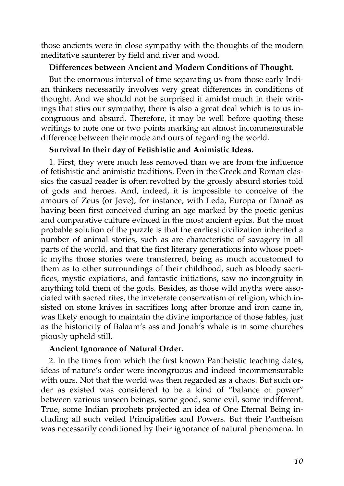those ancients were in close sympathy with the thoughts of the modern meditative saunterer by field and river and wood.

#### **Differences between Ancient and Modern Conditions of Thought.**

But the enormous interval of time separating us from those early Indian thinkers necessarily involves very great differences in conditions of thought. And we should not be surprised if amidst much in their writings that stirs our sympathy, there is also a great deal which is to us incongruous and absurd. Therefore, it may be well before quoting these writings to note one or two points marking an almost incommensurable difference between their mode and ours of regarding the world.

#### **Survival In their day of Fetishistic and Animistic Ideas.**

1. First, they were much less removed than we are from the influence of fetishistic and animistic traditions. Even in the Greek and Roman classics the casual reader is often revolted by the grossly absurd stories told of gods and heroes. And, indeed, it is impossible to conceive of the amours of Zeus (or Jove), for instance, with Leda, Europa or Danaë as having been first conceived during an age marked by the poetic genius and comparative culture evinced in the most ancient epics. But the most probable solution of the puzzle is that the earliest civilization inherited a number of animal stories, such as are characteristic of savagery in all parts of the world, and that the first literary generations into whose poetic myths those stories were transferred, being as much accustomed to them as to other surroundings of their childhood, such as bloody sacrifices, mystic expiations, and fantastic initiations, saw no incongruity in anything told them of the gods. Besides, as those wild myths were associated with sacred rites, the inveterate conservatism of religion, which insisted on stone knives in sacrifices long after bronze and iron came in, was likely enough to maintain the divine importance of those fables, just as the historicity of Balaam's ass and Jonah's whale is in some churches piously upheld still.

#### **Ancient Ignorance of Natural Order.**

2. In the times from which the first known Pantheistic teaching dates, ideas of nature's order were incongruous and indeed incommensurable with ours. Not that the world was then regarded as a chaos. But such order as existed was considered to be a kind of "balance of power" between various unseen beings, some good, some evil, some indifferent. True, some Indian prophets projected an idea of One Eternal Being including all such veiled Principalities and Powers. But their Pantheism was necessarily conditioned by their ignorance of natural phenomena. In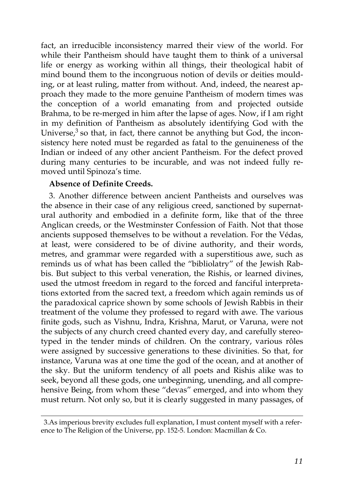fact, an irreducible inconsistency marred their view of the world. For while their Pantheism should have taught them to think of a universal life or energy as working within all things, their theological habit of mind bound them to the incongruous notion of devils or deities moulding, or at least ruling, matter from without. And, indeed, the nearest approach they made to the more genuine Pantheism of modern times was the conception of a world emanating from and projected outside Brahma, to be re-merged in him after the lapse of ages. Now, if I am right in my definition of Pantheism as absolutely identifying God with the Universe, $3$  so that, in fact, there cannot be anything but God, the inconsistency here noted must be regarded as fatal to the genuineness of the Indian or indeed of any other ancient Pantheism. For the defect proved during many centuries to be incurable, and was not indeed fully removed until Spinoza's time.

## **Absence of Definite Creeds.**

3. Another difference between ancient Pantheists and ourselves was the absence in their case of any religious creed, sanctioned by supernatural authority and embodied in a definite form, like that of the three Anglican creeds, or the Westminster Confession of Faith. Not that those ancients supposed themselves to be without a revelation. For the Védas, at least, were considered to be of divine authority, and their words, metres, and grammar were regarded with a superstitious awe, such as reminds us of what has been called the "bibliolatry" of the Jewish Rabbis. But subject to this verbal veneration, the Rishis, or learned divines, used the utmost freedom in regard to the forced and fanciful interpretations extorted from the sacred text, a freedom which again reminds us of the paradoxical caprice shown by some schools of Jewish Rabbis in their treatment of the volume they professed to regard with awe. The various finite gods, such as Vishnu, Indra, Krishna, Marut, or Varuna, were not the subjects of any church creed chanted every day, and carefully stereotyped in the tender minds of children. On the contrary, various rôles were assigned by successive generations to these divinities. So that, for instance, Varuna was at one time the god of the ocean, and at another of the sky. But the uniform tendency of all poets and Rishis alike was to seek, beyond all these gods, one unbeginning, unending, and all comprehensive Being, from whom these "devas" emerged, and into whom they must return. Not only so, but it is clearly suggested in many passages, of

<sup>3.</sup>As imperious brevity excludes full explanation, I must content myself with a reference to The Religion of the Universe, pp. 152-5. London: Macmillan & Co.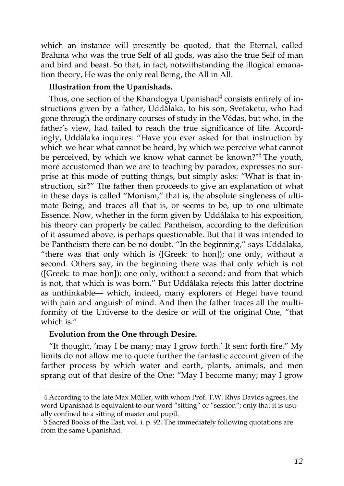which an instance will presently be quoted, that the Eternal, called Brahma who was the true Self of all gods, was also the true Self of man and bird and beast. So that, in fact, notwithstanding the illogical emanation theory, He was the only real Being, the All in All.

#### **Illustration from the Upanishads.**

Thus, one section of the Khandogya Upanishad<sup>4</sup> consists entirely of instructions given by a father, Uddâlaka, to his son, Svetaketu, who had gone through the ordinary courses of study in the Védas, but who, in the father's view, had failed to reach the true significance of life. Accordingly, Uddâlaka inquires: "Have you ever asked for that instruction by which we hear what cannot be heard, by which we perceive what cannot be perceived, by which we know what cannot be known?"<sup>5</sup> The youth, more accustomed than we are to teaching by paradox, expresses no surprise at this mode of putting things, but simply asks: "What is that instruction, sir?" The father then proceeds to give an explanation of what in these days is called "Monism," that is, the absolute singleness of ultimate Being, and traces all that is, or seems to be, up to one ultimate Essence. Now, whether in the form given by Uddâlaka to his exposition, his theory can properly be called Pantheism, according to the definition of it assumed above, is perhaps questionable. But that it was intended to be Pantheism there can be no doubt. "In the beginning," says Uddâlaka, "there was that only which is ([Greek: to hon]); one only, without a second. Others say, in the beginning there was that only which is not ([Greek: to mae hon]); one only, without a second; and from that which is not, that which is was born." But Uddâlaka rejects this latter doctrine as unthinkable— which, indeed, many explorers of Hegel have found with pain and anguish of mind. And then the father traces all the multiformity of the Universe to the desire or will of the original One, "that which is."

#### **Evolution from the One through Desire.**

"It thought, 'may I be many; may I grow forth.' It sent forth fire." My limits do not allow me to quote further the fantastic account given of the farther process by which water and earth, plants, animals, and men sprang out of that desire of the One: "May I become many; may I grow

<sup>4.</sup>According to the late Max Müller, with whom Prof. T.W. Rhys Davids agrees, the word Upanishad is equivalent to our word "sitting" or "session"; only that it is usually confined to a sitting of master and pupil.

<sup>5.</sup>Sacred Books of the East, vol. i. p. 92. The immediately following quotations are from the same Upanishad.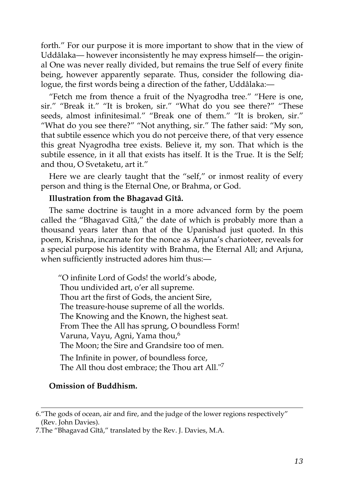forth." For our purpose it is more important to show that in the view of Uddâlaka— however inconsistently he may express himself— the original One was never really divided, but remains the true Self of every finite being, however apparently separate. Thus, consider the following dialogue, the first words being a direction of the father, Uddâlaka:—

"Fetch me from thence a fruit of the Nyagrodha tree." "Here is one, sir." "Break it." "It is broken, sir." "What do you see there?" "These seeds, almost infinitesimal." "Break one of them." "It is broken, sir." "What do you see there?" "Not anything, sir." The father said: "My son, that subtile essence which you do not perceive there, of that very essence this great Nyagrodha tree exists. Believe it, my son. That which is the subtile essence, in it all that exists has itself. It is the True. It is the Self; and thou, O Svetaketu, art it."

Here we are clearly taught that the "self," or inmost reality of every person and thing is the Eternal One, or Brahma, or God.

#### **Illustration from the Bhagavad Gîtâ.**

The same doctrine is taught in a more advanced form by the poem called the "Bhagavad Gîtâ," the date of which is probably more than a thousand years later than that of the Upanishad just quoted. In this poem, Krishna, incarnate for the nonce as Arjuna's charioteer, reveals for a special purpose his identity with Brahma, the Eternal All; and Arjuna, when sufficiently instructed adores him thus:—

"O infinite Lord of Gods! the world's abode, Thou undivided art, o'er all supreme. Thou art the first of Gods, the ancient Sire, The treasure-house supreme of all the worlds. The Knowing and the Known, the highest seat. From Thee the All has sprung, O boundless Form! Varuna, Vayu, Agni, Yama thou,<sup>6</sup> The Moon; the Sire and Grandsire too of men. The Infinite in power, of boundless force, The All thou dost embrace; the Thou art All."<sup>7</sup>

## **Omission of Buddhism.**

<sup>6.&</sup>quot;The gods of ocean, air and fire, and the judge of the lower regions respectively" (Rev. John Davies).

<sup>7.</sup>The "Bhagavad Gîtâ," translated by the Rev. J. Davies, M.A.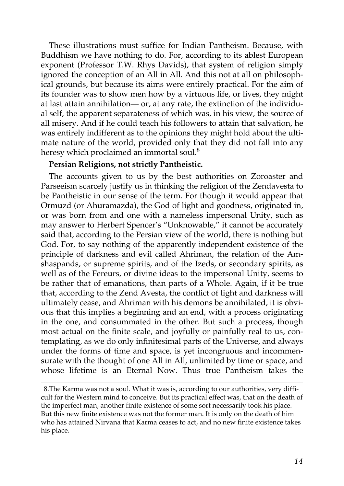These illustrations must suffice for Indian Pantheism. Because, with Buddhism we have nothing to do. For, according to its ablest European exponent (Professor T.W. Rhys Davids), that system of religion simply ignored the conception of an All in All. And this not at all on philosophical grounds, but because its aims were entirely practical. For the aim of its founder was to show men how by a virtuous life, or lives, they might at last attain annihilation— or, at any rate, the extinction of the individual self, the apparent separateness of which was, in his view, the source of all misery. And if he could teach his followers to attain that salvation, he was entirely indifferent as to the opinions they might hold about the ultimate nature of the world, provided only that they did not fall into any heresy which proclaimed an immortal soul.<sup>8</sup>

#### **Persian Religions, not strictly Pantheistic.**

The accounts given to us by the best authorities on Zoroaster and Parseeism scarcely justify us in thinking the religion of the Zendavesta to be Pantheistic in our sense of the term. For though it would appear that Ormuzd (or Ahuramazda), the God of light and goodness, originated in, or was born from and one with a nameless impersonal Unity, such as may answer to Herbert Spencer's "Unknowable," it cannot be accurately said that, according to the Persian view of the world, there is nothing but God. For, to say nothing of the apparently independent existence of the principle of darkness and evil called Ahriman, the relation of the Amshaspands, or supreme spirits, and of the Izeds, or secondary spirits, as well as of the Fereurs, or divine ideas to the impersonal Unity, seems to be rather that of emanations, than parts of a Whole. Again, if it be true that, according to the Zend Avesta, the conflict of light and darkness will ultimately cease, and Ahriman with his demons be annihilated, it is obvious that this implies a beginning and an end, with a process originating in the one, and consummated in the other. But such a process, though most actual on the finite scale, and joyfully or painfully real to us, contemplating, as we do only infinitesimal parts of the Universe, and always under the forms of time and space, is yet incongruous and incommensurate with the thought of one All in All, unlimited by time or space, and whose lifetime is an Eternal Now. Thus true Pantheism takes the

<sup>8.</sup>The Karma was not a soul. What it was is, according to our authorities, very difficult for the Western mind to conceive. But its practical effect was, that on the death of the imperfect man, another finite existence of some sort necessarily took his place. But this new finite existence was not the former man. It is only on the death of him who has attained Nirvana that Karma ceases to act, and no new finite existence takes his place.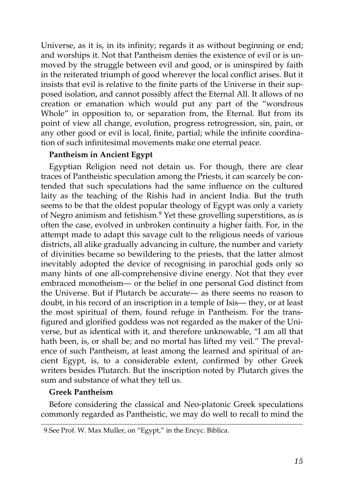Universe, as it is, in its infinity; regards it as without beginning or end; and worships it. Not that Pantheism denies the existence of evil or is unmoved by the struggle between evil and good, or is uninspired by faith in the reiterated triumph of good wherever the local conflict arises. But it insists that evil is relative to the finite parts of the Universe in their supposed isolation, and cannot possibly affect the Eternal All. It allows of no creation or emanation which would put any part of the "wondrous Whole" in opposition to, or separation from, the Eternal. But from its point of view all change, evolution, progress retrogression, sin, pain, or any other good or evil is local, finite, partial; while the infinite coordination of such infinitesimal movements make one eternal peace.

## **Pantheism in Ancient Egypt**

Egyptian Religion need not detain us. For though, there are clear traces of Pantheistic speculation among the Priests, it can scarcely be contended that such speculations had the same influence on the cultured laity as the teaching of the Rishis had in ancient India. But the truth seems to be that the oldest popular theology of Egypt was only a variety of Negro animism and fetishism.<sup>9</sup> Yet these grovelling superstitions, as is often the case, evolved in unbroken continuity a higher faith. For, in the attempt made to adapt this savage cult to the religious needs of various districts, all alike gradually advancing in culture, the number and variety of divinities became so bewildering to the priests, that the latter almost inevitably adopted the device of recognising in parochial gods only so many hints of one all-comprehensive divine energy. Not that they ever embraced monotheism— or the belief in one personal God distinct from the Universe. But if Plutarch be accurate— as there seems no reason to doubt, in his record of an inscription in a temple of Isis— they, or at least the most spiritual of them, found refuge in Pantheism. For the transfigured and glorified goddess was not regarded as the maker of the Universe, but as identical with it, and therefore unknowable, "I am all that hath been, is, or shall be; and no mortal has lifted my veil." The prevalence of such Pantheism, at least among the learned and spiritual of ancient Egypt, is, to a considerable extent, confirmed by other Greek writers besides Plutarch. But the inscription noted by Plutarch gives the sum and substance of what they tell us.

# **Greek Pantheism**

Before considering the classical and Neo-platonic Greek speculations commonly regarded as Pantheistic, we may do well to recall to mind the

<sup>9.</sup>See Prof. W. Max Muller, on "Egypt," in the Encyc. Biblica.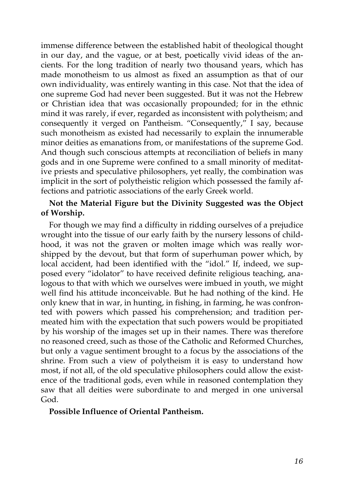immense difference between the established habit of theological thought in our day, and the vague, or at best, poetically vivid ideas of the ancients. For the long tradition of nearly two thousand years, which has made monotheism to us almost as fixed an assumption as that of our own individuality, was entirely wanting in this case. Not that the idea of one supreme God had never been suggested. But it was not the Hebrew or Christian idea that was occasionally propounded; for in the ethnic mind it was rarely, if ever, regarded as inconsistent with polytheism; and consequently it verged on Pantheism. "Consequently," I say, because such monotheism as existed had necessarily to explain the innumerable minor deities as emanations from, or manifestations of the supreme God. And though such conscious attempts at reconciliation of beliefs in many gods and in one Supreme were confined to a small minority of meditative priests and speculative philosophers, yet really, the combination was implicit in the sort of polytheistic religion which possessed the family affections and patriotic associations of the early Greek world.

# **Not the Material Figure but the Divinity Suggested was the Object of Worship.**

For though we may find a difficulty in ridding ourselves of a prejudice wrought into the tissue of our early faith by the nursery lessons of childhood, it was not the graven or molten image which was really worshipped by the devout, but that form of superhuman power which, by local accident, had been identified with the "idol." If, indeed, we supposed every "idolator" to have received definite religious teaching, analogous to that with which we ourselves were imbued in youth, we might well find his attitude inconceivable. But he had nothing of the kind. He only knew that in war, in hunting, in fishing, in farming, he was confronted with powers which passed his comprehension; and tradition permeated him with the expectation that such powers would be propitiated by his worship of the images set up in their names. There was therefore no reasoned creed, such as those of the Catholic and Reformed Churches, but only a vague sentiment brought to a focus by the associations of the shrine. From such a view of polytheism it is easy to understand how most, if not all, of the old speculative philosophers could allow the existence of the traditional gods, even while in reasoned contemplation they saw that all deities were subordinate to and merged in one universal God.

#### **Possible Influence of Oriental Pantheism.**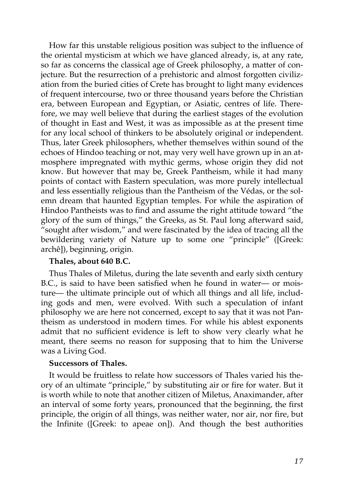How far this unstable religious position was subject to the influence of the oriental mysticism at which we have glanced already, is, at any rate, so far as concerns the classical age of Greek philosophy, a matter of conjecture. But the resurrection of a prehistoric and almost forgotten civilization from the buried cities of Crete has brought to light many evidences of frequent intercourse, two or three thousand years before the Christian era, between European and Egyptian, or Asiatic, centres of life. Therefore, we may well believe that during the earliest stages of the evolution of thought in East and West, it was as impossible as at the present time for any local school of thinkers to be absolutely original or independent. Thus, later Greek philosophers, whether themselves within sound of the echoes of Hindoo teaching or not, may very well have grown up in an atmosphere impregnated with mythic germs, whose origin they did not know. But however that may be, Greek Pantheism, while it had many points of contact with Eastern speculation, was more purely intellectual and less essentially religious than the Pantheism of the Védas, or the solemn dream that haunted Egyptian temples. For while the aspiration of Hindoo Pantheists was to find and assume the right attitude toward "the glory of the sum of things," the Greeks, as St. Paul long afterward said, "sought after wisdom," and were fascinated by the idea of tracing all the bewildering variety of Nature up to some one "principle" ([Greek: archê]), beginning, origin.

#### **Thales, about 640 B.C.**

Thus Thales of Miletus, during the late seventh and early sixth century B.C., is said to have been satisfied when he found in water— or moisture— the ultimate principle out of which all things and all life, including gods and men, were evolved. With such a speculation of infant philosophy we are here not concerned, except to say that it was not Pantheism as understood in modern times. For while his ablest exponents admit that no sufficient evidence is left to show very clearly what he meant, there seems no reason for supposing that to him the Universe was a Living God.

#### **Successors of Thales.**

It would be fruitless to relate how successors of Thales varied his theory of an ultimate "principle," by substituting air or fire for water. But it is worth while to note that another citizen of Miletus, Anaximander, after an interval of some forty years, pronounced that the beginning, the first principle, the origin of all things, was neither water, nor air, nor fire, but the Infinite ([Greek: to apeae on]). And though the best authorities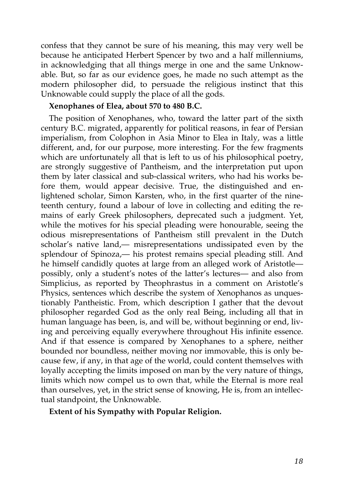confess that they cannot be sure of his meaning, this may very well be because he anticipated Herbert Spencer by two and a half millenniums, in acknowledging that all things merge in one and the same Unknowable. But, so far as our evidence goes, he made no such attempt as the modern philosopher did, to persuade the religious instinct that this Unknowable could supply the place of all the gods.

#### **Xenophanes of Elea, about 570 to 480 B.C.**

The position of Xenophanes, who, toward the latter part of the sixth century B.C. migrated, apparently for political reasons, in fear of Persian imperialism, from Colophon in Asia Minor to Elea in Italy, was a little different, and, for our purpose, more interesting. For the few fragments which are unfortunately all that is left to us of his philosophical poetry, are strongly suggestive of Pantheism, and the interpretation put upon them by later classical and sub-classical writers, who had his works before them, would appear decisive. True, the distinguished and enlightened scholar, Simon Karsten, who, in the first quarter of the nineteenth century, found a labour of love in collecting and editing the remains of early Greek philosophers, deprecated such a judgment. Yet, while the motives for his special pleading were honourable, seeing the odious misrepresentations of Pantheism still prevalent in the Dutch scholar's native land,— misrepresentations undissipated even by the splendour of Spinoza,— his protest remains special pleading still. And he himself candidly quotes at large from an alleged work of Aristotle possibly, only a student's notes of the latter's lectures— and also from Simplicius, as reported by Theophrastus in a comment on Aristotle's Physics, sentences which describe the system of Xenophanos as unquestionably Pantheistic. From, which description I gather that the devout philosopher regarded God as the only real Being, including all that in human language has been, is, and will be, without beginning or end, living and perceiving equally everywhere throughout His infinite essence. And if that essence is compared by Xenophanes to a sphere, neither bounded nor boundless, neither moving nor immovable, this is only because few, if any, in that age of the world, could content themselves with loyally accepting the limits imposed on man by the very nature of things, limits which now compel us to own that, while the Eternal is more real than ourselves, yet, in the strict sense of knowing, He is, from an intellectual standpoint, the Unknowable.

**Extent of his Sympathy with Popular Religion.**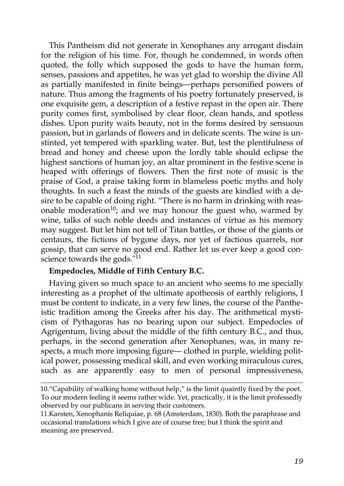This Pantheism did not generate in Xenophanes any arrogant disdain for the religion of his time. For, though he condemned, in words often quoted, the folly which supposed the gods to have the human form, senses, passions and appetites, he was yet glad to worship the divine All as partially manifested in finite beings—perhaps personified powers of nature. Thus among the fragments of his poetry fortunately preserved, is one exquisite gem, a description of a festive repast in the open air. There purity comes first, symbolised by clear floor, clean hands, and spotless dishes. Upon purity waits beauty, not in the forms desired by sensuous passion, but in garlands of flowers and in delicate scents. The wine is unstinted, yet tempered with sparkling water. But, lest the plentifulness of bread and honey and cheese upon the lordly table should eclipse the highest sanctions of human joy, an altar prominent in the festive scene is heaped with offerings of flowers. Then the first note of music is the praise of God, a praise taking form in blameless poetic myths and holy thoughts. In such a feast the minds of the guests are kindled with a desire to be capable of doing right. "There is no harm in drinking with reasonable moderation<sup>10</sup>; and we may honour the guest who, warmed by wine, talks of such noble deeds and instances of virtue as his memory may suggest. But let him not tell of Titan battles, or those of the giants or centaurs, the fictions of bygone days, nor yet of factious quarrels, nor gossip, that can serve no good end. Rather let us ever keep a good conscience towards the gods."<sup>11</sup>

## **Empedocles, Middle of Fifth Century B.C.**

Having given so much space to an ancient who seems to me specially interesting as a prophet of the ultimate apotheosis of earthly religions, I must be content to indicate, in a very few lines, the course of the Pantheistic tradition among the Greeks after his day. The arithmetical mysticism of Pythagoras has no bearing upon our subject. Empedocles of Agrigentum, living about the middle of the fifth century B.C., and thus, perhaps, in the second generation after Xenophanes, was, in many respects, a much more imposing figure— clothed in purple, wielding political power, possessing medical skill, and even working miraculous cures, such as are apparently easy to men of personal impressiveness,

<sup>10.&</sup>quot;Capability of walking home without help," is the limit quaintly fixed by the poet. To our modern feeling it seems rather wide. Yet, practically, it is the limit professedly observed by our publicans in serving their customers.

<sup>11.</sup>Karsten, Xenophanis Reliquiae, p. 68 (Amsterdam, 1830). Both the paraphrase and occasional translations which I give are of course free; but I think the spirit and meaning are preserved.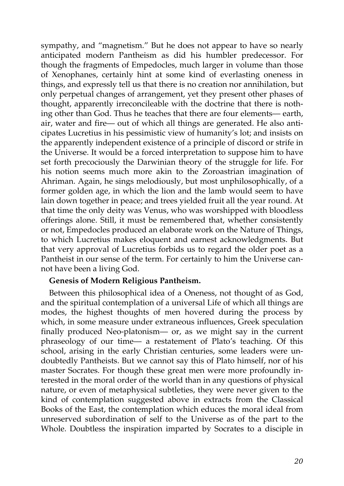sympathy, and "magnetism." But he does not appear to have so nearly anticipated modern Pantheism as did his humbler predecessor. For though the fragments of Empedocles, much larger in volume than those of Xenophanes, certainly hint at some kind of everlasting oneness in things, and expressly tell us that there is no creation nor annihilation, but only perpetual changes of arrangement, yet they present other phases of thought, apparently irreconcileable with the doctrine that there is nothing other than God. Thus he teaches that there are four elements— earth, air, water and fire— out of which all things are generated. He also anticipates Lucretius in his pessimistic view of humanity's lot; and insists on the apparently independent existence of a principle of discord or strife in the Universe. It would be a forced interpretation to suppose him to have set forth precociously the Darwinian theory of the struggle for life. For his notion seems much more akin to the Zoroastrian imagination of Ahriman. Again, he sings melodiously, but most unphilosophically, of a former golden age, in which the lion and the lamb would seem to have lain down together in peace; and trees yielded fruit all the year round. At that time the only deity was Venus, who was worshipped with bloodless offerings alone. Still, it must be remembered that, whether consistently or not, Empedocles produced an elaborate work on the Nature of Things, to which Lucretius makes eloquent and earnest acknowledgments. But that very approval of Lucretius forbids us to regard the older poet as a Pantheist in our sense of the term. For certainly to him the Universe cannot have been a living God.

#### **Genesis of Modern Religious Pantheism.**

Between this philosophical idea of a Oneness, not thought of as God, and the spiritual contemplation of a universal Life of which all things are modes, the highest thoughts of men hovered during the process by which, in some measure under extraneous influences, Greek speculation finally produced Neo-platonism— or, as we might say in the current phraseology of our time— a restatement of Plato's teaching. Of this school, arising in the early Christian centuries, some leaders were undoubtedly Pantheists. But we cannot say this of Plato himself, nor of his master Socrates. For though these great men were more profoundly interested in the moral order of the world than in any questions of physical nature, or even of metaphysical subtleties, they were never given to the kind of contemplation suggested above in extracts from the Classical Books of the East, the contemplation which educes the moral ideal from unreserved subordination of self to the Universe as of the part to the Whole. Doubtless the inspiration imparted by Socrates to a disciple in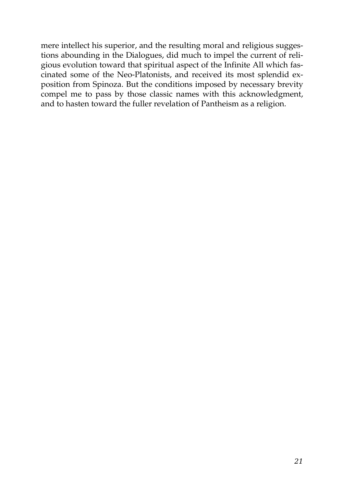mere intellect his superior, and the resulting moral and religious suggestions abounding in the Dialogues, did much to impel the current of religious evolution toward that spiritual aspect of the Infinite All which fascinated some of the Neo-Platonists, and received its most splendid exposition from Spinoza. But the conditions imposed by necessary brevity compel me to pass by those classic names with this acknowledgment, and to hasten toward the fuller revelation of Pantheism as a religion.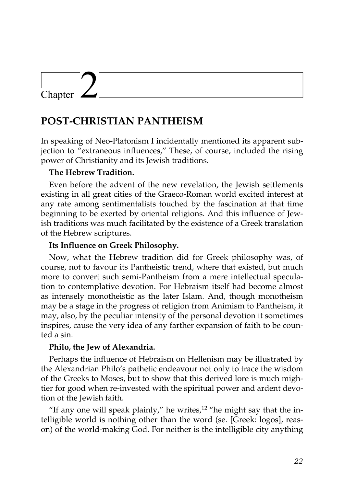# Chapter

# **POST-CHRISTIAN PANTHEISM**

In speaking of Neo-Platonism I incidentally mentioned its apparent subjection to "extraneous influences," These, of course, included the rising power of Christianity and its Jewish traditions.

# **The Hebrew Tradition.**

Even before the advent of the new revelation, the Jewish settlements existing in all great cities of the Graeco-Roman world excited interest at any rate among sentimentalists touched by the fascination at that time beginning to be exerted by oriental religions. And this influence of Jewish traditions was much facilitated by the existence of a Greek translation of the Hebrew scriptures.

## **Its Influence on Greek Philosophy.**

Now, what the Hebrew tradition did for Greek philosophy was, of course, not to favour its Pantheistic trend, where that existed, but much more to convert such semi-Pantheism from a mere intellectual speculation to contemplative devotion. For Hebraism itself had become almost as intensely monotheistic as the later Islam. And, though monotheism may be a stage in the progress of religion from Animism to Pantheism, it may, also, by the peculiar intensity of the personal devotion it sometimes inspires, cause the very idea of any farther expansion of faith to be counted a sin.

## **Philo, the Jew of Alexandria.**

Perhaps the influence of Hebraism on Hellenism may be illustrated by the Alexandrian Philo's pathetic endeavour not only to trace the wisdom of the Greeks to Moses, but to show that this derived lore is much mightier for good when re-invested with the spiritual power and ardent devotion of the Jewish faith.

"If any one will speak plainly," he writes, $12$  "he might say that the intelligible world is nothing other than the word (se. [Greek: logos], reason) of the world-making God. For neither is the intelligible city anything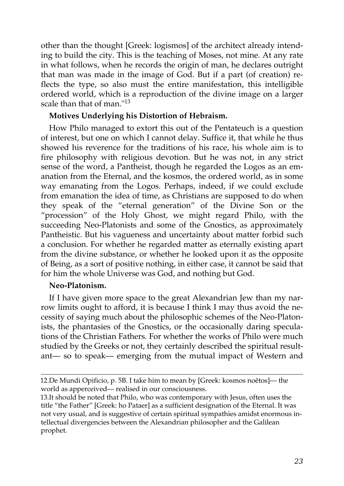other than the thought [Greek: logismos] of the architect already intending to build the city. This is the teaching of Moses, not mine. At any rate in what follows, when he records the origin of man, he declares outright that man was made in the image of God. But if a part (of creation) reflects the type, so also must the entire manifestation, this intelligible ordered world, which is a reproduction of the divine image on a larger scale than that of man."<sup>13</sup>

# **Motives Underlying his Distortion of Hebraism.**

How Philo managed to extort this out of the Pentateuch is a question of interest, but one on which I cannot delay. Suffice it, that while he thus showed his reverence for the traditions of his race, his whole aim is to fire philosophy with religious devotion. But he was not, in any strict sense of the word, a Pantheist, though he regarded the Logos as an emanation from the Eternal, and the kosmos, the ordered world, as in some way emanating from the Logos. Perhaps, indeed, if we could exclude from emanation the idea of time, as Christians are supposed to do when they speak of the "eternal generation" of the Divine Son or the "procession" of the Holy Ghost, we might regard Philo, with the succeeding Neo-Platonists and some of the Gnostics, as approximately Pantheistic. But his vagueness and uncertainty about matter forbid such a conclusion. For whether he regarded matter as eternally existing apart from the divine substance, or whether he looked upon it as the opposite of Being, as a sort of positive nothing, in either case, it cannot be said that for him the whole Universe was God, and nothing but God.

# **Neo-Platonism.**

If I have given more space to the great Alexandrian Jew than my narrow limits ought to afford, it is because I think I may thus avoid the necessity of saying much about the philosophic schemes of the Neo-Platonists, the phantasies of the Gnostics, or the occasionally daring speculations of the Christian Fathers. For whether the works of Philo were much studied by the Greeks or not, they certainly described the spiritual resultant— so to speak— emerging from the mutual impact of Western and

13.It should be noted that Philo, who was contemporary with Jesus, often uses the title "the Father" [Greek: ho Pataer] as a sufficient designation of the Eternal. It was not very usual, and is suggestive of certain spiritual sympathies amidst enormous intellectual divergencies between the Alexandrian philosopher and the Galilean prophet.

<sup>12.</sup>De Mundi Opificio, p. 5B. I take him to mean by [Greek: kosmos noêtos]— the world as apperceived— realised in our consciousness.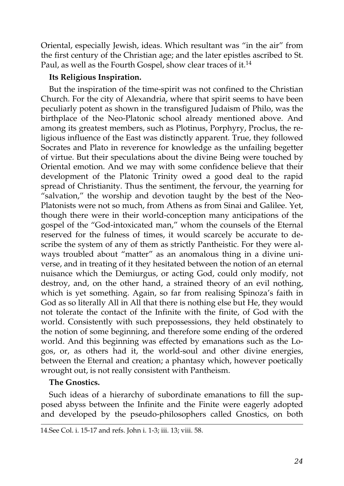Oriental, especially Jewish, ideas. Which resultant was "in the air" from the first century of the Christian age; and the later epistles ascribed to St. Paul, as well as the Fourth Gospel, show clear traces of it.<sup>14</sup>

# **Its Religious Inspiration.**

But the inspiration of the time-spirit was not confined to the Christian Church. For the city of Alexandria, where that spirit seems to have been peculiarly potent as shown in the transfigured Judaism of Philo, was the birthplace of the Neo-Platonic school already mentioned above. And among its greatest members, such as Plotinus, Porphyry, Proclus, the religious influence of the East was distinctly apparent. True, they followed Socrates and Plato in reverence for knowledge as the unfailing begetter of virtue. But their speculations about the divine Being were touched by Oriental emotion. And we may with some confidence believe that their development of the Platonic Trinity owed a good deal to the rapid spread of Christianity. Thus the sentiment, the fervour, the yearning for "salvation," the worship and devotion taught by the best of the Neo-Platonists were not so much, from Athens as from Sinai and Galilee. Yet, though there were in their world-conception many anticipations of the gospel of the "God-intoxicated man," whom the counsels of the Eternal reserved for the fulness of times, it would scarcely be accurate to describe the system of any of them as strictly Pantheistic. For they were always troubled about "matter" as an anomalous thing in a divine universe, and in treating of it they hesitated between the notion of an eternal nuisance which the Demiurgus, or acting God, could only modify, not destroy, and, on the other hand, a strained theory of an evil nothing, which is yet something. Again, so far from realising Spinoza's faith in God as so literally All in All that there is nothing else but He, they would not tolerate the contact of the Infinite with the finite, of God with the world. Consistently with such prepossessions, they held obstinately to the notion of some beginning, and therefore some ending of the ordered world. And this beginning was effected by emanations such as the Logos, or, as others had it, the world-soul and other divine energies, between the Eternal and creation; a phantasy which, however poetically wrought out, is not really consistent with Pantheism.

## **The Gnostics.**

Such ideas of a hierarchy of subordinate emanations to fill the supposed abyss between the Infinite and the Finite were eagerly adopted and developed by the pseudo-philosophers called Gnostics, on both

<sup>14.</sup>See Col. i. 15-17 and refs. John i. 1-3; iii. 13; viii. 58.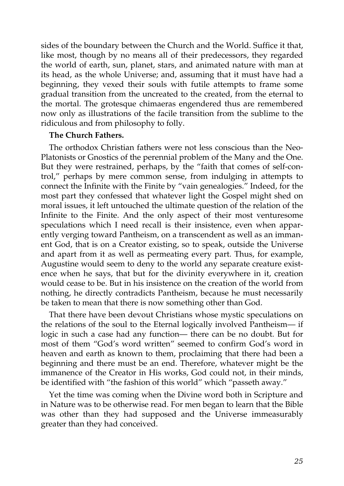sides of the boundary between the Church and the World. Suffice it that, like most, though by no means all of their predecessors, they regarded the world of earth, sun, planet, stars, and animated nature with man at its head, as the whole Universe; and, assuming that it must have had a beginning, they vexed their souls with futile attempts to frame some gradual transition from the uncreated to the created, from the eternal to the mortal. The grotesque chimaeras engendered thus are remembered now only as illustrations of the facile transition from the sublime to the ridiculous and from philosophy to folly.

#### **The Church Fathers.**

The orthodox Christian fathers were not less conscious than the Neo-Platonists or Gnostics of the perennial problem of the Many and the One. But they were restrained, perhaps, by the "faith that comes of self-control," perhaps by mere common sense, from indulging in attempts to connect the Infinite with the Finite by "vain genealogies." Indeed, for the most part they confessed that whatever light the Gospel might shed on moral issues, it left untouched the ultimate question of the relation of the Infinite to the Finite. And the only aspect of their most venturesome speculations which I need recall is their insistence, even when apparently verging toward Pantheism, on a transcendent as well as an immanent God, that is on a Creator existing, so to speak, outside the Universe and apart from it as well as permeating every part. Thus, for example, Augustine would seem to deny to the world any separate creature existence when he says, that but for the divinity everywhere in it, creation would cease to be. But in his insistence on the creation of the world from nothing, he directly contradicts Pantheism, because he must necessarily be taken to mean that there is now something other than God.

That there have been devout Christians whose mystic speculations on the relations of the soul to the Eternal logically involved Pantheism— if logic in such a case had any function— there can be no doubt. But for most of them "God's word written" seemed to confirm God's word in heaven and earth as known to them, proclaiming that there had been a beginning and there must be an end. Therefore, whatever might be the immanence of the Creator in His works, God could not, in their minds, be identified with "the fashion of this world" which "passeth away."

Yet the time was coming when the Divine word both in Scripture and in Nature was to be otherwise read. For men began to learn that the Bible was other than they had supposed and the Universe immeasurably greater than they had conceived.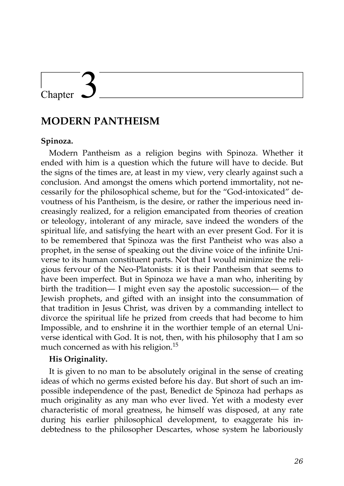# Chapter

# **MODERN PANTHEISM**

# **Spinoza.**

Modern Pantheism as a religion begins with Spinoza. Whether it ended with him is a question which the future will have to decide. But the signs of the times are, at least in my view, very clearly against such a conclusion. And amongst the omens which portend immortality, not necessarily for the philosophical scheme, but for the "God-intoxicated" devoutness of his Pantheism, is the desire, or rather the imperious need increasingly realized, for a religion emancipated from theories of creation or teleology, intolerant of any miracle, save indeed the wonders of the spiritual life, and satisfying the heart with an ever present God. For it is to be remembered that Spinoza was the first Pantheist who was also a prophet, in the sense of speaking out the divine voice of the infinite Universe to its human constituent parts. Not that I would minimize the religious fervour of the Neo-Platonists: it is their Pantheism that seems to have been imperfect. But in Spinoza we have a man who, inheriting by birth the tradition— I might even say the apostolic succession— of the Jewish prophets, and gifted with an insight into the consummation of that tradition in Jesus Christ, was driven by a commanding intellect to divorce the spiritual life he prized from creeds that had become to him Impossible, and to enshrine it in the worthier temple of an eternal Universe identical with God. It is not, then, with his philosophy that I am so much concerned as with his religion.<sup>15</sup>

## **His Originality.**

It is given to no man to be absolutely original in the sense of creating ideas of which no germs existed before his day. But short of such an impossible independence of the past, Benedict de Spinoza had perhaps as much originality as any man who ever lived. Yet with a modesty ever characteristic of moral greatness, he himself was disposed, at any rate during his earlier philosophical development, to exaggerate his indebtedness to the philosopher Descartes, whose system he laboriously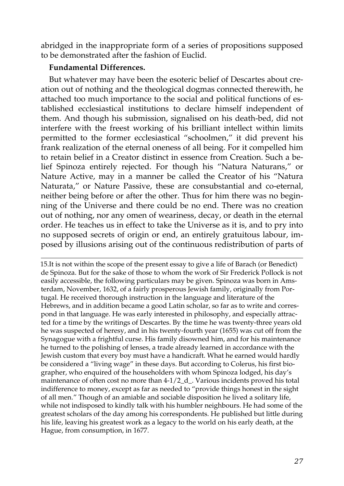abridged in the inappropriate form of a series of propositions supposed to be demonstrated after the fashion of Euclid.

#### **Fundamental Differences.**

But whatever may have been the esoteric belief of Descartes about creation out of nothing and the theological dogmas connected therewith, he attached too much importance to the social and political functions of established ecclesiastical institutions to declare himself independent of them. And though his submission, signalised on his death-bed, did not interfere with the freest working of his brilliant intellect within limits permitted to the former ecclesiastical "schoolmen," it did prevent his frank realization of the eternal oneness of all being. For it compelled him to retain belief in a Creator distinct in essence from Creation. Such a belief Spinoza entirely rejected. For though his "Natura Naturans," or Nature Active, may in a manner be called the Creator of his "Natura Naturata," or Nature Passive, these are consubstantial and co-eternal, neither being before or after the other. Thus for him there was no beginning of the Universe and there could be no end. There was no creation out of nothing, nor any omen of weariness, decay, or death in the eternal order. He teaches us in effect to take the Universe as it is, and to pry into no supposed secrets of origin or end, an entirely gratuitous labour, imposed by illusions arising out of the continuous redistribution of parts of

15.It is not within the scope of the present essay to give a life of Barach (or Benedict) de Spinoza. But for the sake of those to whom the work of Sir Frederick Pollock is not easily accessible, the following particulars may be given. Spinoza was born in Amsterdam, November, 1632, of a fairly prosperous Jewish family, originally from Portugal. He received thorough instruction in the language and literature of the Hebrews, and in addition became a good Latin scholar, so far as to write and correspond in that language. He was early interested in philosophy, and especially attracted for a time by the writings of Descartes. By the time he was twenty-three years old he was suspected of heresy, and in his twenty-fourth year (1655) was cut off from the Synagogue with a frightful curse. His family disowned him, and for his maintenance he turned to the polishing of lenses, a trade already learned in accordance with the Jewish custom that every boy must have a handicraft. What he earned would hardly be considered a "living wage" in these days. But according to Colerus, his first biographer, who enquired of the householders with whom Spinoza lodged, his day's maintenance of often cost no more than 4-1/2\_d\_. Various incidents proved his total indifference to money, except as far as needed to "provide things honest in the sight of all men." Though of an amiable and sociable disposition he lived a solitary life, while not indisposed to kindly talk with his humbler neighbours. He had some of the greatest scholars of the day among his correspondents. He published but little during his life, leaving his greatest work as a legacy to the world on his early death, at the Hague, from consumption, in 1677.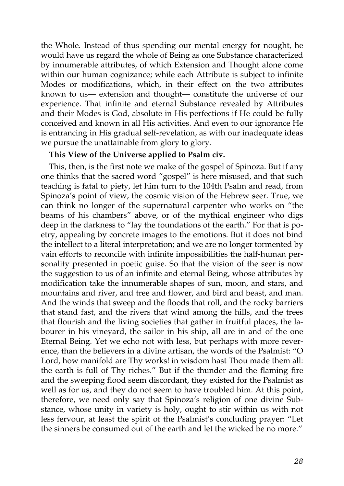the Whole. Instead of thus spending our mental energy for nought, he would have us regard the whole of Being as one Substance characterized by innumerable attributes, of which Extension and Thought alone come within our human cognizance; while each Attribute is subject to infinite Modes or modifications, which, in their effect on the two attributes known to us— extension and thought— constitute the universe of our experience. That infinite and eternal Substance revealed by Attributes and their Modes is God, absolute in His perfections if He could be fully conceived and known in all His activities. And even to our ignorance He is entrancing in His gradual self-revelation, as with our inadequate ideas we pursue the unattainable from glory to glory.

## **This View of the Universe applied to Psalm civ.**

This, then, is the first note we make of the gospel of Spinoza. But if any one thinks that the sacred word "gospel" is here misused, and that such teaching is fatal to piety, let him turn to the 104th Psalm and read, from Spinoza's point of view, the cosmic vision of the Hebrew seer. True, we can think no longer of the supernatural carpenter who works on "the beams of his chambers" above, or of the mythical engineer who digs deep in the darkness to "lay the foundations of the earth." For that is poetry, appealing by concrete images to the emotions. But it does not bind the intellect to a literal interpretation; and we are no longer tormented by vain efforts to reconcile with infinite impossibilities the half-human personality presented in poetic guise. So that the vision of the seer is now the suggestion to us of an infinite and eternal Being, whose attributes by modification take the innumerable shapes of sun, moon, and stars, and mountains and river, and tree and flower, and bird and beast, and man. And the winds that sweep and the floods that roll, and the rocky barriers that stand fast, and the rivers that wind among the hills, and the trees that flourish and the living societies that gather in fruitful places, the labourer in his vineyard, the sailor in his ship, all are in and of the one Eternal Being. Yet we echo not with less, but perhaps with more reverence, than the believers in a divine artisan, the words of the Psalmist: "O Lord, how manifold are Thy works! in wisdom hast Thou made them all: the earth is full of Thy riches." But if the thunder and the flaming fire and the sweeping flood seem discordant, they existed for the Psalmist as well as for us, and they do not seem to have troubled him. At this point, therefore, we need only say that Spinoza's religion of one divine Substance, whose unity in variety is holy, ought to stir within us with not less fervour, at least the spirit of the Psalmist's concluding prayer: "Let the sinners be consumed out of the earth and let the wicked be no more."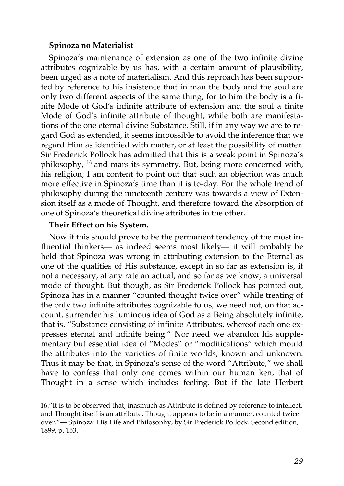#### **Spinoza no Materialist**

Spinoza's maintenance of extension as one of the two infinite divine attributes cognizable by us has, with a certain amount of plausibility, been urged as a note of materialism. And this reproach has been supported by reference to his insistence that in man the body and the soul are only two different aspects of the same thing; for to him the body is a finite Mode of God's infinite attribute of extension and the soul a finite Mode of God's infinite attribute of thought, while both are manifestations of the one eternal divine Substance. Still, if in any way we are to regard God as extended, it seems impossible to avoid the inference that we regard Him as identified with matter, or at least the possibility of matter. Sir Frederick Pollock has admitted that this is a weak point in Spinoza's philosophy, <sup>16</sup> and mars its symmetry. But, being more concerned with, his religion, I am content to point out that such an objection was much more effective in Spinoza's time than it is to-day. For the whole trend of philosophy during the nineteenth century was towards a view of Extension itself as a mode of Thought, and therefore toward the absorption of one of Spinoza's theoretical divine attributes in the other.

#### **Their Effect on his System.**

Now if this should prove to be the permanent tendency of the most influential thinkers— as indeed seems most likely— it will probably be held that Spinoza was wrong in attributing extension to the Eternal as one of the qualities of His substance, except in so far as extension is, if not a necessary, at any rate an actual, and so far as we know, a universal mode of thought. But though, as Sir Frederick Pollock has pointed out, Spinoza has in a manner "counted thought twice over" while treating of the only two infinite attributes cognizable to us, we need not, on that account, surrender his luminous idea of God as a Being absolutely infinite, that is, "Substance consisting of infinite Attributes, whereof each one expresses eternal and infinite being." Nor need we abandon his supplementary but essential idea of "Modes" or "modifications" which mould the attributes into the varieties of finite worlds, known and unknown. Thus it may be that, in Spinoza's sense of the word "Attribute," we shall have to confess that only one comes within our human ken, that of Thought in a sense which includes feeling. But if the late Herbert

<sup>16.&</sup>quot;It is to be observed that, inasmuch as Attribute is defined by reference to intellect, and Thought itself is an attribute, Thought appears to be in a manner, counted twice over."— Spinoza: His Life and Philosophy, by Sir Frederick Pollock. Second edition, 1899, p. 153.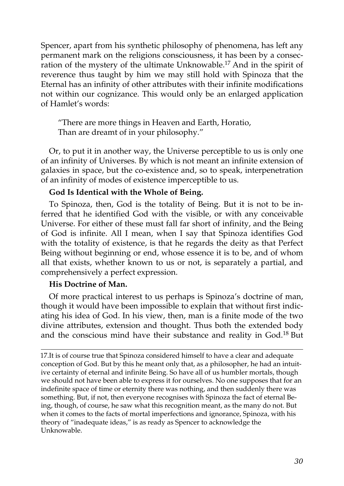Spencer, apart from his synthetic philosophy of phenomena, has left any permanent mark on the religions consciousness, it has been by a consecration of the mystery of the ultimate Unknowable.<sup>17</sup> And in the spirit of reverence thus taught by him we may still hold with Spinoza that the Eternal has an infinity of other attributes with their infinite modifications not within our cognizance. This would only be an enlarged application of Hamlet's words:

"There are more things in Heaven and Earth, Horatio, Than are dreamt of in your philosophy."

Or, to put it in another way, the Universe perceptible to us is only one of an infinity of Universes. By which is not meant an infinite extension of galaxies in space, but the co-existence and, so to speak, interpenetration of an infinity of modes of existence imperceptible to us.

# **God Is Identical with the Whole of Being.**

To Spinoza, then, God is the totality of Being. But it is not to be inferred that he identified God with the visible, or with any conceivable Universe. For either of these must fall far short of infinity, and the Being of God is infinite. All I mean, when I say that Spinoza identifies God with the totality of existence, is that he regards the deity as that Perfect Being without beginning or end, whose essence it is to be, and of whom all that exists, whether known to us or not, is separately a partial, and comprehensively a perfect expression.

# **His Doctrine of Man.**

Of more practical interest to us perhaps is Spinoza's doctrine of man, though it would have been impossible to explain that without first indicating his idea of God. In his view, then, man is a finite mode of the two divine attributes, extension and thought. Thus both the extended body and the conscious mind have their substance and reality in God.<sup>18</sup> But

17.It is of course true that Spinoza considered himself to have a clear and adequate conception of God. But by this he meant only that, as a philosopher, he had an intuitive certainty of eternal and infinite Being. So have all of us humbler mortals, though we should not have been able to express it for ourselves. No one supposes that for an indefinite space of time or eternity there was nothing, and then suddenly there was something. But, if not, then everyone recognises with Spinoza the fact of eternal Being, though, of course, he saw what this recognition meant, as the many do not. But when it comes to the facts of mortal imperfections and ignorance, Spinoza, with his theory of "inadequate ideas," is as ready as Spencer to acknowledge the Unknowable.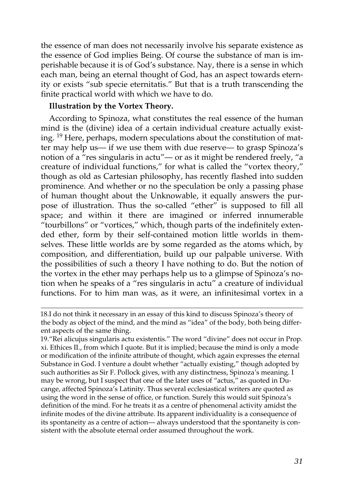the essence of man does not necessarily involve his separate existence as the essence of God implies Being. Of course the substance of man is imperishable because it is of God's substance. Nay, there is a sense in which each man, being an eternal thought of God, has an aspect towards eternity or exists "sub specie eternitatis." But that is a truth transcending the finite practical world with which we have to do.

#### **Illustration by the Vortex Theory.**

According to Spinoza, what constitutes the real essence of the human mind is the (divine) idea of a certain individual creature actually existing. <sup>19</sup> Here, perhaps, modern speculations about the constitution of matter may help us— if we use them with due reserve— to grasp Spinoza's notion of a "res singularis in actu"— or as it might be rendered freely, "a creature of individual functions," for what is called the "vortex theory," though as old as Cartesian philosophy, has recently flashed into sudden prominence. And whether or no the speculation be only a passing phase of human thought about the Unknowable, it equally answers the purpose of illustration. Thus the so-called "ether" is supposed to fill all space; and within it there are imagined or inferred innumerable "tourbillons" or "vortices," which, though parts of the indefinitely extended ether, form by their self-contained motion little worlds in themselves. These little worlds are by some regarded as the atoms which, by composition, and differentiation, build up our palpable universe. With the possibilities of such a theory I have nothing to do. But the notion of the vortex in the ether may perhaps help us to a glimpse of Spinoza's notion when he speaks of a "res singularis in actu" a creature of individual functions. For to him man was, as it were, an infinitesimal vortex in a

<sup>18.</sup>I do not think it necessary in an essay of this kind to discuss Spinoza's theory of the body as object of the mind, and the mind as "idea" of the body, both being different aspects of the same thing.

<sup>19.&</sup>quot;Rei alicujus singularis actu existentis." The word "divine" does not occur in Prop. xi. Ethices II., from which I quote. But it is implied; because the mind is only a mode or modification of the infinite attribute of thought, which again expresses the eternal Substance in God. I venture a doubt whether "actually existing," though adopted by such authorities as Sir F. Pollock gives, with any distinctness, Spinoza's meaning. I may be wrong, but I suspect that one of the later uses of "actus," as quoted in Ducange, affected Spinoza's Latinity. Thus several ecclesiastical writers are quoted as using the word in the sense of office, or function. Surely this would suit Spinoza's definition of the mind. For he treats it as a centre of phenomenal activity amidst the infinite modes of the divine attribute. Its apparent individuality is a consequence of its spontaneity as a centre of action— always understood that the spontaneity is consistent with the absolute eternal order assumed throughout the work.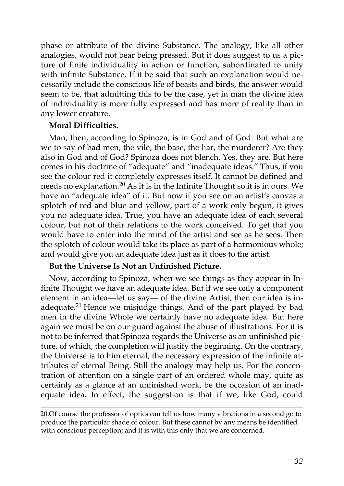phase or attribute of the divine Substance. The analogy, like all other analogies, would not bear being pressed. But it does suggest to us a picture of finite individuality in action or function, subordinated to unity with infinite Substance. If it be said that such an explanation would necessarily include the conscious life of beasts and birds, the answer would seem to be, that admitting this to be the case, yet in man the divine idea of individuality is more fully expressed and has more of reality than in any lower creature.

## **Moral Difficulties.**

Man, then, according to Spinoza, is in God and of God. But what are we to say of bad men, the vile, the base, the liar, the murderer? Are they also in God and of God? Spinoza does not blench. Yes, they are. But here comes in his doctrine of "adequate" and "inadequate ideas." Thus, if you see the colour red it completely expresses itself. It cannot be defined and needs no explanation.<sup>20</sup> As it is in the Infinite Thought so it is in ours. We have an "adequate idea" of it. But now if you see on an artist's canvas a splotch of red and blue and yellow, part of a work only begun, it gives you no adequate idea. True, you have an adequate idea of each several colour, but not of their relations to the work conceived. To get that you would have to enter into the mind of the artist and see as he sees. Then the splotch of colour would take its place as part of a harmonious whole; and would give you an adequate idea just as it does to the artist.

## **But the Universe Is Not an Unfinished Picture.**

Now, according to Spinoza, when we see things as they appear in Infinite Thought we have an adequate idea. But if we see only a component element in an idea—let us say— of the divine Artist, then our idea is inadequate.<sup>21</sup> Hence we misjudge things. And of the part played by bad men in the divine Whole we certainly have no adequate idea. But here again we must be on our guard against the abuse of illustrations. For it is not to be inferred that Spinoza regards the Universe as an unfinished picture, of which, the completion will justify the beginning. On the contrary, the Universe is to him eternal, the necessary expression of the infinite attributes of eternal Being. Still the analogy may help us. For the concentration of attention on a single part of an ordered whole may, quite as certainly as a glance at an unfinished work, be the occasion of an inadequate idea. In effect, the suggestion is that if we, like God, could

<sup>20.</sup>Of course the professor of optics can tell us how many vibrations in a second go to produce the particular shade of colour. But these cannot by any means be identified with conscious perception; and it is with this only that we are concerned.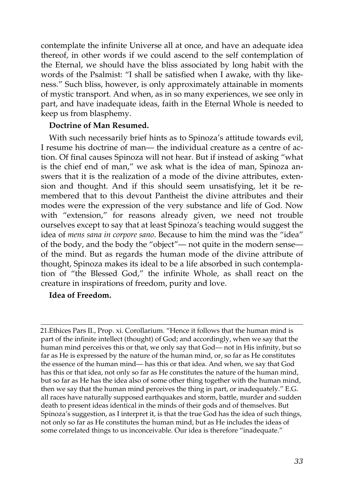contemplate the infinite Universe all at once, and have an adequate idea thereof, in other words if we could ascend to the self contemplation of the Eternal, we should have the bliss associated by long habit with the words of the Psalmist: "I shall be satisfied when I awake, with thy likeness." Such bliss, however, is only approximately attainable in moments of mystic transport. And when, as in so many experiences, we see only in part, and have inadequate ideas, faith in the Eternal Whole is needed to keep us from blasphemy.

# **Doctrine of Man Resumed.**

With such necessarily brief hints as to Spinoza's attitude towards evil, I resume his doctrine of man— the individual creature as a centre of action. Of final causes Spinoza will not hear. But if instead of asking "what is the chief end of man," we ask what is the idea of man, Spinoza answers that it is the realization of a mode of the divine attributes, extension and thought. And if this should seem unsatisfying, let it be remembered that to this devout Pantheist the divine attributes and their modes were the expression of the very substance and life of God. Now with "extension," for reasons already given, we need not trouble ourselves except to say that at least Spinoza's teaching would suggest the idea of *mens sana in corpore sano*. Because to him the mind was the "idea" of the body, and the body the "object"— not quite in the modern sense of the mind. But as regards the human mode of the divine attribute of thought, Spinoza makes its ideal to be a life absorbed in such contemplation of "the Blessed God," the infinite Whole, as shall react on the creature in inspirations of freedom, purity and love.

## **Idea of Freedom.**

21.Ethices Pars II., Prop. xi. Corollarium. "Hence it follows that the human mind is part of the infinite intellect (thought) of God; and accordingly, when we say that the human mind perceives this or that, we only say that God— not in His infinity, but so far as He is expressed by the nature of the human mind, or, so far as He constitutes the essence of the human mind— has this or that idea. And when, we say that God has this or that idea, not only so far as He constitutes the nature of the human mind, but so far as He has the idea also of some other thing together with the human mind, then we say that the human mind perceives the thing in part, or inadequately." E.G. all races have naturally supposed earthquakes and storm, battle, murder and sudden death to present ideas identical in the minds of their gods and of themselves. But Spinoza's suggestion, as I interpret it, is that the true God has the idea of such things, not only so far as He constitutes the human mind, but as He includes the ideas of some correlated things to us inconceivable. Our idea is therefore "inadequate."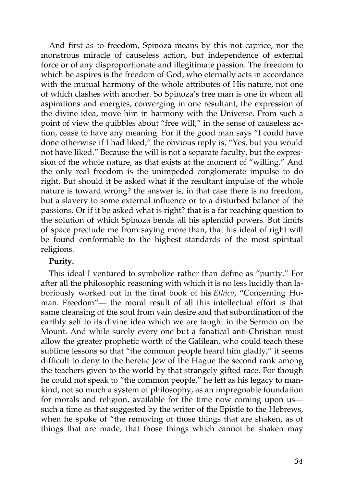And first as to freedom, Spinoza means by this not caprice, nor the monstrous miracle of causeless action, but independence of external force or of any disproportionate and illegitimate passion. The freedom to which he aspires is the freedom of God, who eternally acts in accordance with the mutual harmony of the whole attributes of His nature, not one of which clashes with another. So Spinoza's free man is one in whom all aspirations and energies, converging in one resultant, the expression of the divine idea, move him in harmony with the Universe. From such a point of view the quibbles about "free will," in the sense of causeless action, cease to have any meaning. For if the good man says "I could have done otherwise if I had liked," the obvious reply is, "Yes, but you would not have liked." Because the will is not a separate faculty, but the expression of the whole nature, as that exists at the moment of "willing." And the only real freedom is the unimpeded conglomerate impulse to do right. But should it be asked what if the resultant impulse of the whole nature is toward wrong? the answer is, in that case there is no freedom, but a slavery to some external influence or to a disturbed balance of the passions. Or if it be asked what is right? that is a far reaching question to the solution of which Spinoza bends all his splendid powers. But limits of space preclude me from saying more than, that his ideal of right will be found conformable to the highest standards of the most spiritual religions.

## **Purity.**

This ideal I ventured to symbolize rather than define as "purity." For after all the philosophic reasoning with which it is no less lucidly than laboriously worked out in the final book of his *Ethica*, "Concerning Human. Freedom"— the moral result of all this intellectual effort is that same cleansing of the soul from vain desire and that subordination of the earthly self to its divine idea which we are taught in the Sermon on the Mount. And while surely every one but a fanatical anti-Christian must allow the greater prophetic worth of the Galilean, who could teach these sublime lessons so that "the common people heard him gladly," it seems difficult to deny to the heretic Jew of the Hague the second rank among the teachers given to the world by that strangely gifted race. For though he could not speak to "the common people," he left as his legacy to mankind, not so much a system of philosophy, as an impregnable foundation for morals and religion, available for the time now coming upon us such a time as that suggested by the writer of the Epistle to the Hebrews, when he spoke of "the removing of those things that are shaken, as of things that are made, that those things which cannot be shaken may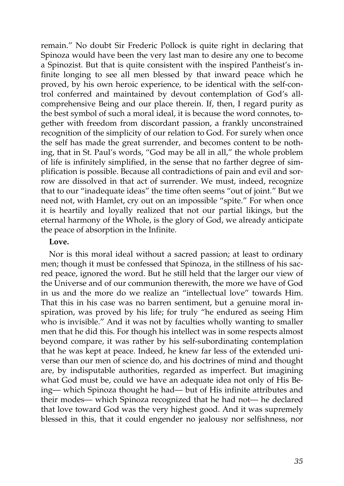remain." No doubt Sir Frederic Pollock is quite right in declaring that Spinoza would have been the very last man to desire any one to become a Spinozist. But that is quite consistent with the inspired Pantheist's infinite longing to see all men blessed by that inward peace which he proved, by his own heroic experience, to be identical with the self-control conferred and maintained by devout contemplation of God's allcomprehensive Being and our place therein. If, then, I regard purity as the best symbol of such a moral ideal, it is because the word connotes, together with freedom from discordant passion, a frankly unconstrained recognition of the simplicity of our relation to God. For surely when once the self has made the great surrender, and becomes content to be nothing, that in St. Paul's words, "God may be all in all," the whole problem of life is infinitely simplified, in the sense that no farther degree of simplification is possible. Because all contradictions of pain and evil and sorrow are dissolved in that act of surrender. We must, indeed, recognize that to our "inadequate ideas" the time often seems "out of joint." But we need not, with Hamlet, cry out on an impossible "spite." For when once it is heartily and loyally realized that not our partial likings, but the eternal harmony of the Whole, is the glory of God, we already anticipate the peace of absorption in the Infinite.

#### **Love.**

Nor is this moral ideal without a sacred passion; at least to ordinary men; though it must be confessed that Spinoza, in the stillness of his sacred peace, ignored the word. But he still held that the larger our view of the Universe and of our communion therewith, the more we have of God in us and the more do we realize an "intellectual love" towards Him. That this in his case was no barren sentiment, but a genuine moral inspiration, was proved by his life; for truly "he endured as seeing Him who is invisible." And it was not by faculties wholly wanting to smaller men that he did this. For though his intellect was in some respects almost beyond compare, it was rather by his self-subordinating contemplation that he was kept at peace. Indeed, he knew far less of the extended universe than our men of science do, and his doctrines of mind and thought are, by indisputable authorities, regarded as imperfect. But imagining what God must be, could we have an adequate idea not only of His Being— which Spinoza thought he had— but of His infinite attributes and their modes— which Spinoza recognized that he had not— he declared that love toward God was the very highest good. And it was supremely blessed in this, that it could engender no jealousy nor selfishness, nor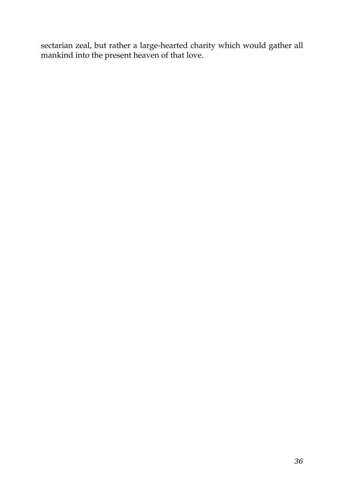sectarian zeal, but rather a large-hearted charity which would gather all mankind into the present heaven of that love.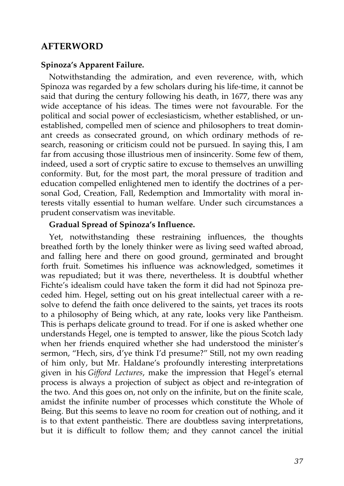# **AFTERWORD**

#### **Spinoza's Apparent Failure.**

Notwithstanding the admiration, and even reverence, with, which Spinoza was regarded by a few scholars during his life-time, it cannot be said that during the century following his death, in 1677, there was any wide acceptance of his ideas. The times were not favourable. For the political and social power of ecclesiasticism, whether established, or unestablished, compelled men of science and philosophers to treat dominant creeds as consecrated ground, on which ordinary methods of research, reasoning or criticism could not be pursued. In saying this, I am far from accusing those illustrious men of insincerity. Some few of them, indeed, used a sort of cryptic satire to excuse to themselves an unwilling conformity. But, for the most part, the moral pressure of tradition and education compelled enlightened men to identify the doctrines of a personal God, Creation, Fall, Redemption and Immortality with moral interests vitally essential to human welfare. Under such circumstances a prudent conservatism was inevitable.

#### **Gradual Spread of Spinoza's Influence.**

Yet, notwithstanding these restraining influences, the thoughts breathed forth by the lonely thinker were as living seed wafted abroad, and falling here and there on good ground, germinated and brought forth fruit. Sometimes his influence was acknowledged, sometimes it was repudiated; but it was there, nevertheless. It is doubtful whether Fichte's idealism could have taken the form it did had not Spinoza preceded him. Hegel, setting out on his great intellectual career with a resolve to defend the faith once delivered to the saints, yet traces its roots to a philosophy of Being which, at any rate, looks very like Pantheism. This is perhaps delicate ground to tread. For if one is asked whether one understands Hegel, one is tempted to answer, like the pious Scotch lady when her friends enquired whether she had understood the minister's sermon, "Hech, sirs, d'ye think I'd presume?" Still, not my own reading of him only, but Mr. Haldane's profoundly interesting interpretations given in his *Gifford Lectures*, make the impression that Hegel's eternal process is always a projection of subject as object and re-integration of the two. And this goes on, not only on the infinite, but on the finite scale, amidst the infinite number of processes which constitute the Whole of Being. But this seems to leave no room for creation out of nothing, and it is to that extent pantheistic. There are doubtless saving interpretations, but it is difficult to follow them; and they cannot cancel the initial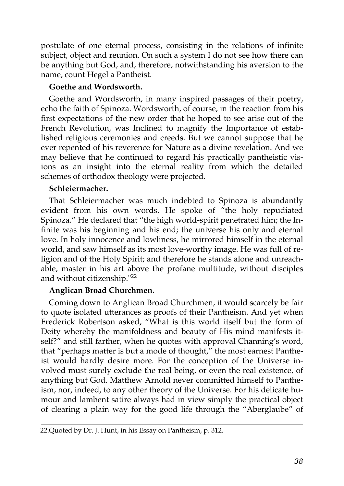postulate of one eternal process, consisting in the relations of infinite subject, object and reunion. On such a system I do not see how there can be anything but God, and, therefore, notwithstanding his aversion to the name, count Hegel a Pantheist.

# **Goethe and Wordsworth.**

Goethe and Wordsworth, in many inspired passages of their poetry, echo the faith of Spinoza. Wordsworth, of course, in the reaction from his first expectations of the new order that he hoped to see arise out of the French Revolution, was Inclined to magnify the Importance of established religious ceremonies and creeds. But we cannot suppose that he ever repented of his reverence for Nature as a divine revelation. And we may believe that he continued to regard his practically pantheistic visions as an insight into the eternal reality from which the detailed schemes of orthodox theology were projected.

# **Schleiermacher.**

That Schleiermacher was much indebted to Spinoza is abundantly evident from his own words. He spoke of "the holy repudiated Spinoza." He declared that "the high world-spirit penetrated him; the Infinite was his beginning and his end; the universe his only and eternal love. In holy innocence and lowliness, he mirrored himself in the eternal world, and saw himself as its most love-worthy image. He was full of religion and of the Holy Spirit; and therefore he stands alone and unreachable, master in his art above the profane multitude, without disciples and without citizenship."<sup>22</sup>

# **Anglican Broad Churchmen.**

Coming down to Anglican Broad Churchmen, it would scarcely be fair to quote isolated utterances as proofs of their Pantheism. And yet when Frederick Robertson asked, "What is this world itself but the form of Deity whereby the manifoldness and beauty of His mind manifests itself?" and still farther, when he quotes with approval Channing's word, that "perhaps matter is but a mode of thought," the most earnest Pantheist would hardly desire more. For the conception of the Universe involved must surely exclude the real being, or even the real existence, of anything but God. Matthew Arnold never committed himself to Pantheism, nor, indeed, to any other theory of the Universe. For his delicate humour and lambent satire always had in view simply the practical object of clearing a plain way for the good life through the "Aberglaube" of

<sup>22.</sup>Quoted by Dr. J. Hunt, in his Essay on Pantheism, p. 312.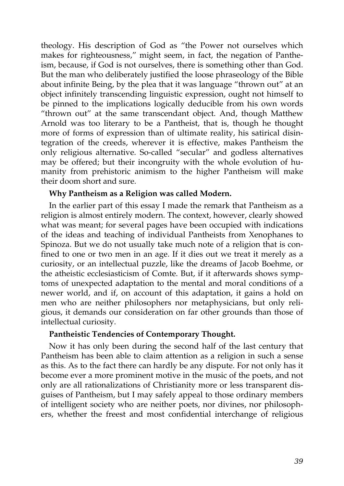theology. His description of God as "the Power not ourselves which makes for righteousness," might seem, in fact, the negation of Pantheism, because, if God is not ourselves, there is something other than God. But the man who deliberately justified the loose phraseology of the Bible about infinite Being, by the plea that it was language "thrown out" at an object infinitely transcending linguistic expression, ought not himself to be pinned to the implications logically deducible from his own words "thrown out" at the same transcendant object. And, though Matthew Arnold was too literary to be a Pantheist, that is, though he thought more of forms of expression than of ultimate reality, his satirical disintegration of the creeds, wherever it is effective, makes Pantheism the only religious alternative. So-called "secular" and godless alternatives may be offered; but their incongruity with the whole evolution of humanity from prehistoric animism to the higher Pantheism will make their doom short and sure.

## **Why Pantheism as a Religion was called Modern.**

In the earlier part of this essay I made the remark that Pantheism as a religion is almost entirely modern. The context, however, clearly showed what was meant; for several pages have been occupied with indications of the ideas and teaching of individual Pantheists from Xenophanes to Spinoza. But we do not usually take much note of a religion that is confined to one or two men in an age. If it dies out we treat it merely as a curiosity, or an intellectual puzzle, like the dreams of Jacob Boehme, or the atheistic ecclesiasticism of Comte. But, if it afterwards shows symptoms of unexpected adaptation to the mental and moral conditions of a newer world, and if, on account of this adaptation, it gains a hold on men who are neither philosophers nor metaphysicians, but only religious, it demands our consideration on far other grounds than those of intellectual curiosity.

## **Pantheistic Tendencies of Contemporary Thought.**

Now it has only been during the second half of the last century that Pantheism has been able to claim attention as a religion in such a sense as this. As to the fact there can hardly be any dispute. For not only has it become ever a more prominent motive in the music of the poets, and not only are all rationalizations of Christianity more or less transparent disguises of Pantheism, but I may safely appeal to those ordinary members of intelligent society who are neither poets, nor divines, nor philosophers, whether the freest and most confidential interchange of religious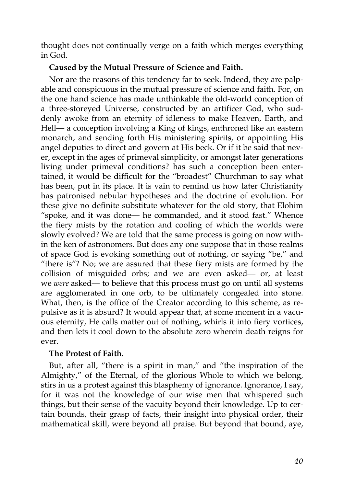thought does not continually verge on a faith which merges everything in God.

# **Caused by the Mutual Pressure of Science and Faith.**

Nor are the reasons of this tendency far to seek. Indeed, they are palpable and conspicuous in the mutual pressure of science and faith. For, on the one hand science has made unthinkable the old-world conception of a three-storeyed Universe, constructed by an artificer God, who suddenly awoke from an eternity of idleness to make Heaven, Earth, and Hell— a conception involving a King of kings, enthroned like an eastern monarch, and sending forth His ministering spirits, or appointing His angel deputies to direct and govern at His beck. Or if it be said that never, except in the ages of primeval simplicity, or amongst later generations living under primeval conditions? has such a conception been entertained, it would be difficult for the "broadest" Churchman to say what has been, put in its place. It is vain to remind us how later Christianity has patronised nebular hypotheses and the doctrine of evolution. For these give no definite substitute whatever for the old story, that Elohim "spoke, and it was done— he commanded, and it stood fast." Whence the fiery mists by the rotation and cooling of which the worlds were slowly evolved? We are told that the same process is going on now within the ken of astronomers. But does any one suppose that in those realms of space God is evoking something out of nothing, or saying "be," and "there is"? No; we are assured that these fiery mists are formed by the collision of misguided orbs; and we are even asked— or, at least we *were* asked— to believe that this process must go on until all systems are agglomerated in one orb, to be ultimately congealed into stone. What, then, is the office of the Creator according to this scheme, as repulsive as it is absurd? It would appear that, at some moment in a vacuous eternity, He calls matter out of nothing, whirls it into fiery vortices, and then lets it cool down to the absolute zero wherein death reigns for ever.

## **The Protest of Faith.**

But, after all, "there is a spirit in man," and "the inspiration of the Almighty," of the Eternal, of the glorious Whole to which we belong, stirs in us a protest against this blasphemy of ignorance. Ignorance, I say, for it was not the knowledge of our wise men that whispered such things, but their sense of the vacuity beyond their knowledge. Up to certain bounds, their grasp of facts, their insight into physical order, their mathematical skill, were beyond all praise. But beyond that bound, aye,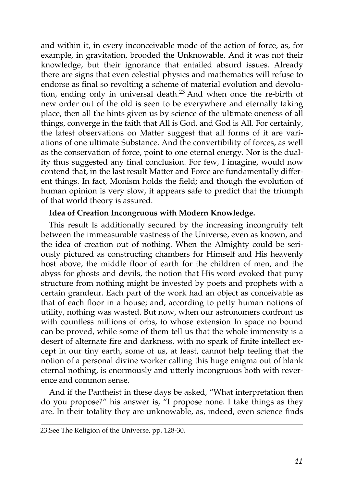and within it, in every inconceivable mode of the action of force, as, for example, in gravitation, brooded the Unknowable. And it was not their knowledge, but their ignorance that entailed absurd issues. Already there are signs that even celestial physics and mathematics will refuse to endorse as final so revolting a scheme of material evolution and devolution, ending only in universal death.<sup>23</sup> And when once the re-birth of new order out of the old is seen to be everywhere and eternally taking place, then all the hints given us by science of the ultimate oneness of all things, converge in the faith that All is God, and God is All. For certainly, the latest observations on Matter suggest that all forms of it are variations of one ultimate Substance. And the convertibility of forces, as well as the conservation of force, point to one eternal energy. Nor is the duality thus suggested any final conclusion. For few, I imagine, would now contend that, in the last result Matter and Force are fundamentally different things. In fact, Monism holds the field; and though the evolution of human opinion is very slow, it appears safe to predict that the triumph of that world theory is assured.

# **Idea of Creation Incongruous with Modern Knowledge.**

This result Is additionally secured by the increasing incongruity felt between the immeasurable vastness of the Universe, even as known, and the idea of creation out of nothing. When the Almighty could be seriously pictured as constructing chambers for Himself and His heavenly host above, the middle floor of earth for the children of men, and the abyss for ghosts and devils, the notion that His word evoked that puny structure from nothing might be invested by poets and prophets with a certain grandeur. Each part of the work had an object as conceivable as that of each floor in a house; and, according to petty human notions of utility, nothing was wasted. But now, when our astronomers confront us with countless millions of orbs, to whose extension In space no bound can be proved, while some of them tell us that the whole immensity is a desert of alternate fire and darkness, with no spark of finite intellect except in our tiny earth, some of us, at least, cannot help feeling that the notion of a personal divine worker calling this huge enigma out of blank eternal nothing, is enormously and utterly incongruous both with reverence and common sense.

And if the Pantheist in these days be asked, "What interpretation then do you propose?" his answer is, "I propose none. I take things as they are. In their totality they are unknowable, as, indeed, even science finds

<sup>23.</sup>See The Religion of the Universe, pp. 128-30.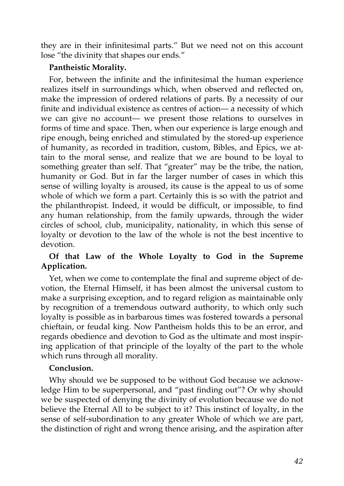they are in their infinitesimal parts." But we need not on this account lose "the divinity that shapes our ends."

## **Pantheistic Morality.**

For, between the infinite and the infinitesimal the human experience realizes itself in surroundings which, when observed and reflected on, make the impression of ordered relations of parts. By a necessity of our finite and individual existence as centres of action— a necessity of which we can give no account— we present those relations to ourselves in forms of time and space. Then, when our experience is large enough and ripe enough, being enriched and stimulated by the stored-up experience of humanity, as recorded in tradition, custom, Bibles, and Epics, we attain to the moral sense, and realize that we are bound to be loyal to something greater than self. That "greater" may be the tribe, the nation, humanity or God. But in far the larger number of cases in which this sense of willing loyalty is aroused, its cause is the appeal to us of some whole of which we form a part. Certainly this is so with the patriot and the philanthropist. Indeed, it would be difficult, or impossible, to find any human relationship, from the family upwards, through the wider circles of school, club, municipality, nationality, in which this sense of loyalty or devotion to the law of the whole is not the best incentive to devotion.

# **Of that Law of the Whole Loyalty to God in the Supreme Application.**

Yet, when we come to contemplate the final and supreme object of devotion, the Eternal Himself, it has been almost the universal custom to make a surprising exception, and to regard religion as maintainable only by recognition of a tremendous outward authority, to which only such loyalty is possible as in barbarous times was fostered towards a personal chieftain, or feudal king. Now Pantheism holds this to be an error, and regards obedience and devotion to God as the ultimate and most inspiring application of that principle of the loyalty of the part to the whole which runs through all morality.

# **Conclusion.**

Why should we be supposed to be without God because we acknowledge Him to be superpersonal, and "past finding out"? Or why should we be suspected of denying the divinity of evolution because we do not believe the Eternal All to be subject to it? This instinct of loyalty, in the sense of self-subordination to any greater Whole of which we are part, the distinction of right and wrong thence arising, and the aspiration after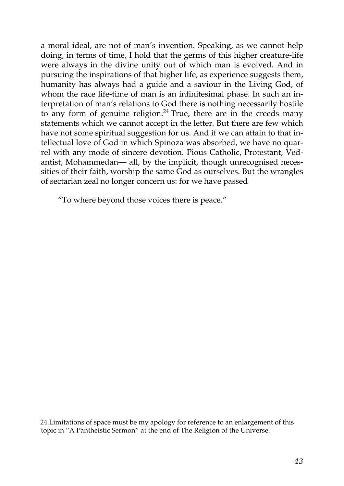a moral ideal, are not of man's invention. Speaking, as we cannot help doing, in terms of time, I hold that the germs of this higher creature-life were always in the divine unity out of which man is evolved. And in pursuing the inspirations of that higher life, as experience suggests them, humanity has always had a guide and a saviour in the Living God, of whom the race life-time of man is an infinitesimal phase. In such an interpretation of man's relations to God there is nothing necessarily hostile to any form of genuine religion.<sup>24</sup> True, there are in the creeds many statements which we cannot accept in the letter. But there are few which have not some spiritual suggestion for us. And if we can attain to that intellectual love of God in which Spinoza was absorbed, we have no quarrel with any mode of sincere devotion. Pious Catholic, Protestant, Vedantist, Mohammedan— all, by the implicit, though unrecognised necessities of their faith, worship the same God as ourselves. But the wrangles of sectarian zeal no longer concern us: for we have passed

"To where beyond those voices there is peace."

24.Limitations of space must be my apology for reference to an enlargement of this topic in "A Pantheistic Sermon" at the end of The Religion of the Universe.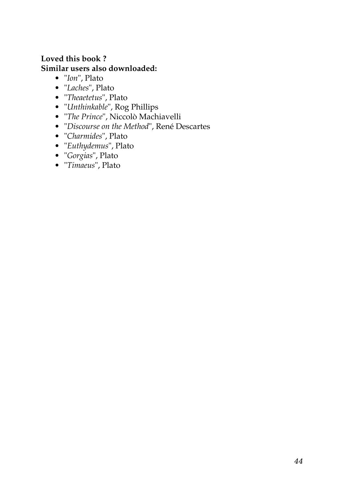# **Loved this book ? Similar users also downloaded:**

- "*[Ion](http://www.feedbooks.com/book/684.pdf)*", Plato
- "*[Laches](http://www.feedbooks.com/book/986.pdf)*", Plato
- "*[Theaetetus](http://www.feedbooks.com/book/713.pdf)*", Plato
- "*[Unthinkable](http://www.feedbooks.com/book/3502.pdf)*", Rog Phillips
- "*[The Prince](http://www.feedbooks.com/book/94.pdf)*", Niccolò Machiavelli
- "*[Discourse on the Method](http://www.feedbooks.com/book/677.pdf)*", René Descartes
- "*[Charmides](http://www.feedbooks.com/book/679.pdf)*", Plato
- "*[Euthydemus](http://www.feedbooks.com/book/984.pdf)*", Plato
- "*[Gorgias](http://www.feedbooks.com/book/985.pdf)*", Plato
- "*[Timaeus](http://www.feedbooks.com/book/712.pdf)*", Plato